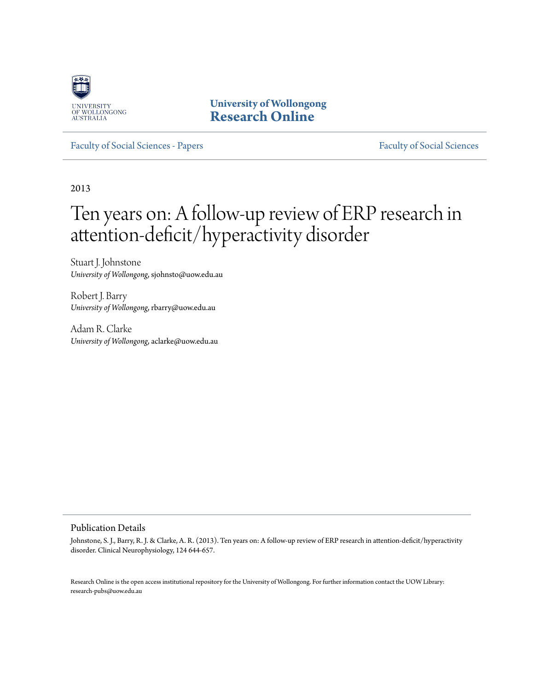

**University of Wollongong [Research Online](http://ro.uow.edu.au)**

[Faculty of Social Sciences - Papers](http://ro.uow.edu.au/sspapers) [Faculty of Social Sciences](http://ro.uow.edu.au/ss)

2013

# Ten years on: A follow-up review of ERP research in attention-deficit/hyperactivity disorder

Stuart J. Johnstone *University of Wollongong*, sjohnsto@uow.edu.au

Robert J. Barry *University of Wollongong*, rbarry@uow.edu.au

Adam R. Clarke *University of Wollongong*, aclarke@uow.edu.au

Publication Details

Johnstone, S. J., Barry, R. J. & Clarke, A. R. (2013). Ten years on: A follow-up review of ERP research in attention-deficit/hyperactivity disorder. Clinical Neurophysiology, 124 644-657.

Research Online is the open access institutional repository for the University of Wollongong. For further information contact the UOW Library: research-pubs@uow.edu.au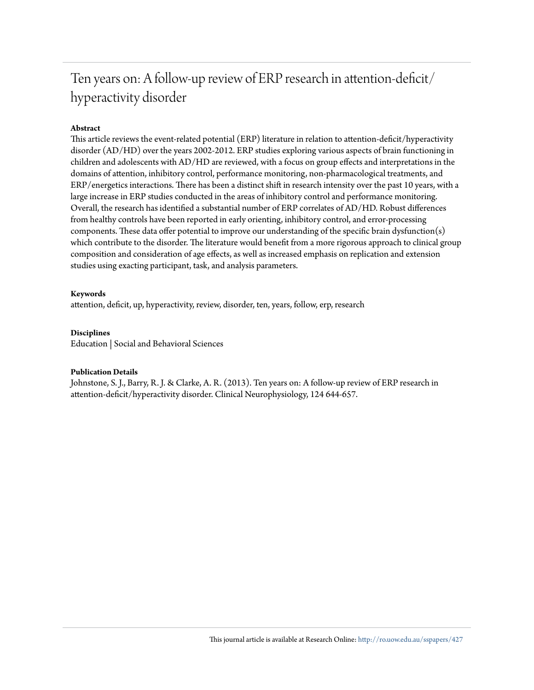# Ten years on: A follow-up review of ERP research in attention-deficit/ hyperactivity disorder

# **Abstract**

This article reviews the event-related potential (ERP) literature in relation to attention-deficit/hyperactivity disorder (AD/HD) over the years 2002-2012. ERP studies exploring various aspects of brain functioning in children and adolescents with AD/HD are reviewed, with a focus on group effects and interpretations in the domains of attention, inhibitory control, performance monitoring, non-pharmacological treatments, and ERP/energetics interactions. There has been a distinct shift in research intensity over the past 10 years, with a large increase in ERP studies conducted in the areas of inhibitory control and performance monitoring. Overall, the research has identified a substantial number of ERP correlates of AD/HD. Robust differences from healthy controls have been reported in early orienting, inhibitory control, and error-processing components. These data offer potential to improve our understanding of the specific brain dysfunction(s) which contribute to the disorder. The literature would benefit from a more rigorous approach to clinical group composition and consideration of age effects, as well as increased emphasis on replication and extension studies using exacting participant, task, and analysis parameters.

### **Keywords**

attention, deficit, up, hyperactivity, review, disorder, ten, years, follow, erp, research

# **Disciplines**

Education | Social and Behavioral Sciences

#### **Publication Details**

Johnstone, S. J., Barry, R. J. & Clarke, A. R. (2013). Ten years on: A follow-up review of ERP research in attention-deficit/hyperactivity disorder. Clinical Neurophysiology, 124 644-657.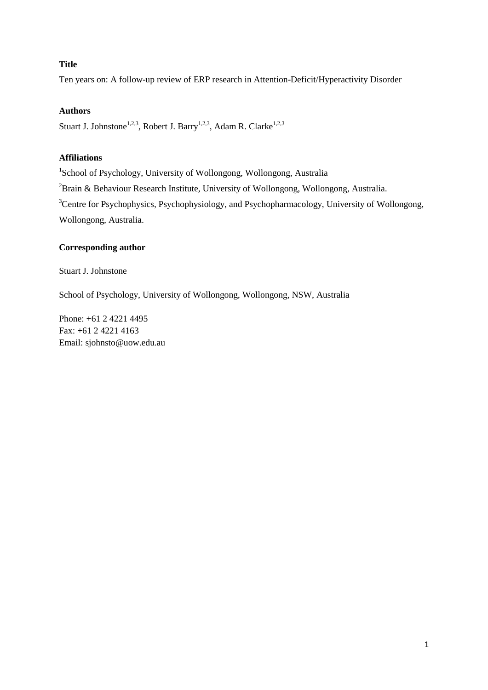# **Title**

Ten years on: A follow-up review of ERP research in Attention-Deficit/Hyperactivity Disorder

# **Authors**

Stuart J. Johnstone<sup>1,2,3</sup>, Robert J. Barry<sup>1,2,3</sup>, Adam R. Clarke<sup>1,2,3</sup>

# **Affiliations**

1 School of Psychology, University of Wollongong, Wollongong, Australia  $2$ Brain & Behaviour Research Institute, University of Wollongong, Wollongong, Australia. <sup>3</sup>Centre for Psychophysics, Psychophysiology, and Psychopharmacology, University of Wollongong, Wollongong, Australia.

# **Corresponding author**

Stuart J. Johnstone

School of Psychology, University of Wollongong, Wollongong, NSW, Australia

Phone: +61 2 4221 4495 Fax: +61 2 4221 4163 Email: sjohnsto@uow.edu.au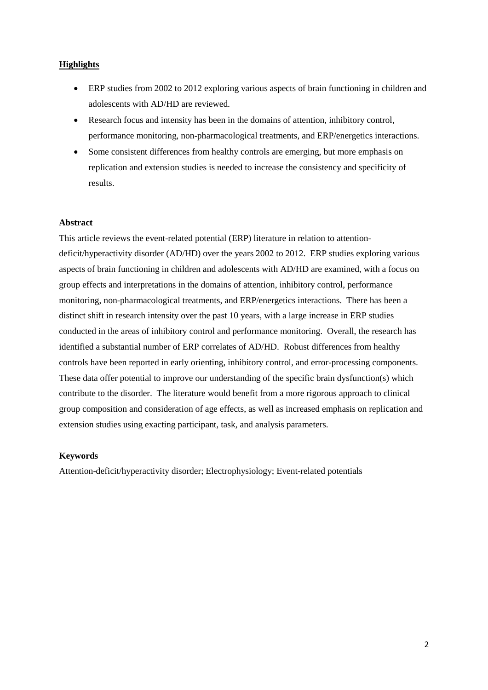# **Highlights**

- ERP studies from 2002 to 2012 exploring various aspects of brain functioning in children and adolescents with AD/HD are reviewed.
- Research focus and intensity has been in the domains of attention, inhibitory control, performance monitoring, non-pharmacological treatments, and ERP/energetics interactions.
- Some consistent differences from healthy controls are emerging, but more emphasis on replication and extension studies is needed to increase the consistency and specificity of results.

#### **Abstract**

This article reviews the event-related potential (ERP) literature in relation to attentiondeficit/hyperactivity disorder (AD/HD) over the years 2002 to 2012. ERP studies exploring various aspects of brain functioning in children and adolescents with AD/HD are examined, with a focus on group effects and interpretations in the domains of attention, inhibitory control, performance monitoring, non-pharmacological treatments, and ERP/energetics interactions. There has been a distinct shift in research intensity over the past 10 years, with a large increase in ERP studies conducted in the areas of inhibitory control and performance monitoring. Overall, the research has identified a substantial number of ERP correlates of AD/HD. Robust differences from healthy controls have been reported in early orienting, inhibitory control, and error-processing components. These data offer potential to improve our understanding of the specific brain dysfunction(s) which contribute to the disorder. The literature would benefit from a more rigorous approach to clinical group composition and consideration of age effects, as well as increased emphasis on replication and extension studies using exacting participant, task, and analysis parameters.

## **Keywords**

Attention-deficit/hyperactivity disorder; Electrophysiology; Event-related potentials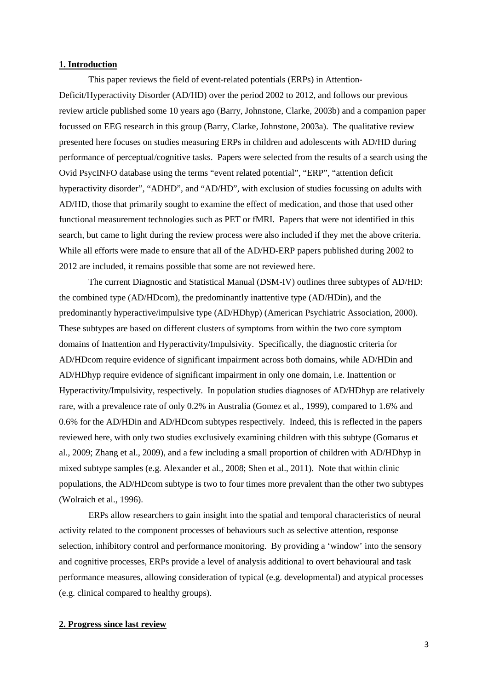#### **1. Introduction**

This paper reviews the field of event-related potentials (ERPs) in Attention-Deficit/Hyperactivity Disorder (AD/HD) over the period 2002 to 2012, and follows our previous review article published some 10 years ago (Barry, Johnstone, Clarke, 2003b) and a companion paper focussed on EEG research in this group (Barry, Clarke, Johnstone, 2003a). The qualitative review presented here focuses on studies measuring ERPs in children and adolescents with AD/HD during performance of perceptual/cognitive tasks. Papers were selected from the results of a search using the Ovid PsycINFO database using the terms "event related potential", "ERP", "attention deficit hyperactivity disorder", "ADHD", and "AD/HD", with exclusion of studies focussing on adults with AD/HD, those that primarily sought to examine the effect of medication, and those that used other functional measurement technologies such as PET or fMRI. Papers that were not identified in this search, but came to light during the review process were also included if they met the above criteria. While all efforts were made to ensure that all of the AD/HD-ERP papers published during 2002 to 2012 are included, it remains possible that some are not reviewed here.

The current Diagnostic and Statistical Manual (DSM-IV) outlines three subtypes of AD/HD: the combined type (AD/HDcom), the predominantly inattentive type (AD/HDin), and the predominantly hyperactive/impulsive type (AD/HDhyp) [\(American Psychiatric Association, 2000\)](#page-20-0). These subtypes are based on different clusters of symptoms from within the two core symptom domains of Inattention and Hyperactivity/Impulsivity. Specifically, the diagnostic criteria for AD/HDcom require evidence of significant impairment across both domains, while AD/HDin and AD/HDhyp require evidence of significant impairment in only one domain, i.e. Inattention or Hyperactivity/Impulsivity, respectively. In population studies diagnoses of AD/HDhyp are relatively rare, with a prevalence rate of only 0.2% in Australia [\(Gomez et al., 1999\)](#page-21-0), compared to 1.6% and 0.6% for the AD/HDin and AD/HDcom subtypes respectively. Indeed, this is reflected in the papers reviewed here, with only two studies exclusively examining children with this subtype [\(Gomarus et](#page-21-1)  [al., 2009;](#page-21-1) [Zhang et al., 2009\)](#page-25-0), and a few including a small proportion of children with AD/HDhyp in mixed subtype samples (e.g. [Alexander et al., 2008;](#page-20-1) [Shen et al., 2011\)](#page-24-0). Note that within clinic populations, the AD/HDcom subtype is two to four times more prevalent than the other two subtypes (Wolraich et al., 1996).

ERPs allow researchers to gain insight into the spatial and temporal characteristics of neural activity related to the component processes of behaviours such as selective attention, response selection, inhibitory control and performance monitoring. By providing a 'window' into the sensory and cognitive processes, ERPs provide a level of analysis additional to overt behavioural and task performance measures, allowing consideration of typical (e.g. developmental) and atypical processes (e.g. clinical compared to healthy groups).

# **2. Progress since last review**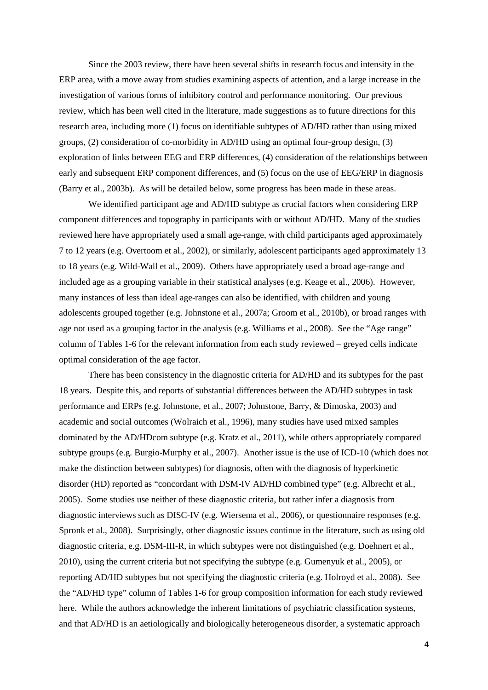Since the 2003 review, there have been several shifts in research focus and intensity in the ERP area, with a move away from studies examining aspects of attention, and a large increase in the investigation of various forms of inhibitory control and performance monitoring. Our previous review, which has been well cited in the literature, made suggestions as to future directions for this research area, including more (1) focus on identifiable subtypes of AD/HD rather than using mixed groups, (2) consideration of co-morbidity in AD/HD using an optimal four-group design, (3) exploration of links between EEG and ERP differences, (4) consideration of the relationships between early and subsequent ERP component differences, and (5) focus on the use of EEG/ERP in diagnosis [\(Barry et al., 2003b\)](#page-20-2). As will be detailed below, some progress has been made in these areas.

We identified participant age and AD/HD subtype as crucial factors when considering ERP component differences and topography in participants with or without AD/HD. Many of the studies reviewed here have appropriately used a small age-range, with child participants aged approximately 7 to 12 years [\(e.g. Overtoom et al., 2002\)](#page-23-0), or similarly, adolescent participants aged approximately 13 to 18 years [\(e.g. Wild-Wall et al., 2009\)](#page-25-1). Others have appropriately used a broad age-range and included age as a grouping variable in their statistical analyses [\(e.g. Keage et al., 2006\)](#page-22-0). However, many instances of less than ideal age-ranges can also be identified, with children and young adolescents grouped together (e.g. [Johnstone et al.,](#page-22-1) 2007a[; Groom et al., 2010b\)](#page-22-2), or broad ranges with age not used as a grouping factor in the analysis [\(e.g. Williams et al., 2008\)](#page-25-2). See the "Age range" column of Tables 1-6 for the relevant information from each study reviewed – greyed cells indicate optimal consideration of the age factor.

There has been consistency in the diagnostic criteria for AD/HD and its subtypes for the past 18 years. Despite this, and reports of substantial differences between the AD/HD subtypes in task performance and ERPs (e.g. Johnstone, et al., 2007; Johnstone, Barry, & Dimoska, 2003) and academic and social outcomes [\(Wolraich et al., 1996\)](#page-25-3), many studies have used mixed samples dominated by the AD/HDcom subtype [\(e.g. Kratz et al., 2011\)](#page-23-1), while others appropriately compared subtype groups [\(e.g. Burgio-Murphy et al., 2007\)](#page-21-2). Another issue is the use of ICD-10 (which does not make the distinction between subtypes) for diagnosis, often with the diagnosis of hyperkinetic disorder (HD) reported as "concordant with DSM-IV AD/HD combined type" [\(e.g. Albrecht et al.,](#page-20-3)  [2005\)](#page-20-3). Some studies use neither of these diagnostic criteria, but rather infer a diagnosis from diagnostic interviews such as DISC-IV [\(e.g. Wiersema et al., 2006\)](#page-25-4), or questionnaire responses [\(e.g.](#page-24-1)  [Spronk et al., 2008\)](#page-24-1). Surprisingly, other diagnostic issues continue in the literature, such as using old diagnostic criteria, e.g. DSM-III-R, in which subtypes were not distinguished [\(e.g. Doehnert et al.,](#page-21-3)  [2010\)](#page-21-3), using the current criteria but not specifying the subtype [\(e.g. Gumenyuk et al., 2005\)](#page-22-3), or reporting AD/HD subtypes but not specifying the diagnostic criteria [\(e.g. Holroyd et al., 2008\)](#page-22-4). See the "AD/HD type" column of Tables 1-6 for group composition information for each study reviewed here. While the authors acknowledge the inherent limitations of psychiatric classification systems, and that AD/HD is an aetiologically and biologically heterogeneous disorder, a systematic approach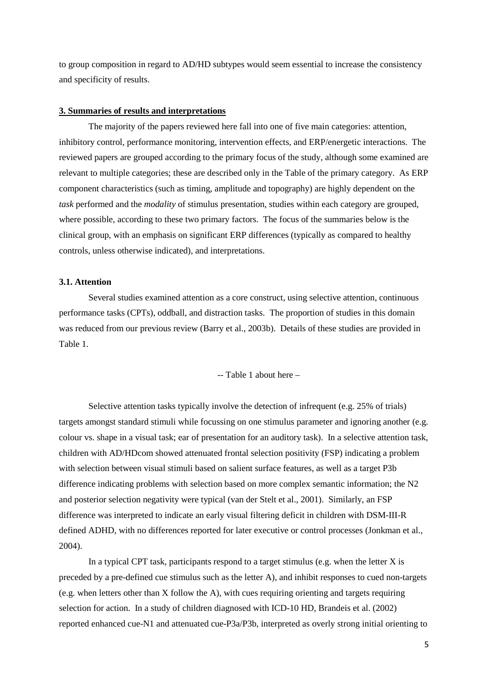to group composition in regard to AD/HD subtypes would seem essential to increase the consistency and specificity of results.

#### **3. Summaries of results and interpretations**

The majority of the papers reviewed here fall into one of five main categories: attention, inhibitory control, performance monitoring, intervention effects, and ERP/energetic interactions. The reviewed papers are grouped according to the primary focus of the study, although some examined are relevant to multiple categories; these are described only in the Table of the primary category. As ERP component characteristics (such as timing, amplitude and topography) are highly dependent on the *task* performed and the *modality* of stimulus presentation, studies within each category are grouped, where possible, according to these two primary factors. The focus of the summaries below is the clinical group, with an emphasis on significant ERP differences (typically as compared to healthy controls, unless otherwise indicated), and interpretations.

# **3.1. Attention**

Several studies examined attention as a core construct, using selective attention, continuous performance tasks (CPTs), oddball, and distraction tasks. The proportion of studies in this domain was reduced from our previous review [\(Barry et al., 2003b\)](#page-20-2). Details of these studies are provided in Table 1.

-- Table 1 about here –

Selective attention tasks typically involve the detection of infrequent (e.g. 25% of trials) targets amongst standard stimuli while focussing on one stimulus parameter and ignoring another (e.g. colour vs. shape in a visual task; ear of presentation for an auditory task). In a selective attention task, children with AD/HDcom showed attenuated frontal selection positivity (FSP) indicating a problem with selection between visual stimuli based on salient surface features, as well as a target P3b difference indicating problems with selection based on more complex semantic information; the N2 and posterior selection negativity were typical [\(van der Stelt et al., 2001\)](#page-24-2). Similarly, an FSP difference was interpreted to indicate an early visual filtering deficit in children with DSM-III-R defined ADHD, with no differences reported for later executive or control processes [\(Jonkman et al.,](#page-22-5)  [2004\)](#page-22-5).

In a typical CPT task, participants respond to a target stimulus (e.g. when the letter  $X$  is preceded by a pre-defined cue stimulus such as the letter A), and inhibit responses to cued non-targets (e.g. when letters other than X follow the A), with cues requiring orienting and targets requiring selection for action. In a study of children diagnosed with ICD-10 HD, Brandeis et al. [\(2002\)](#page-21-4) reported enhanced cue-N1 and attenuated cue-P3a/P3b, interpreted as overly strong initial orienting to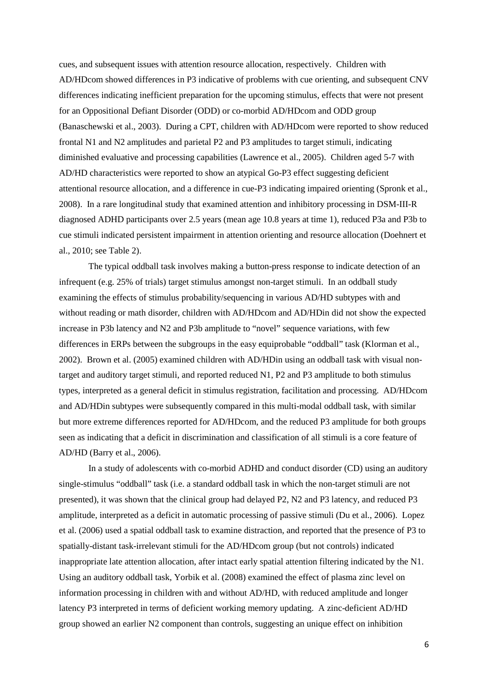cues, and subsequent issues with attention resource allocation, respectively. Children with AD/HDcom showed differences in P3 indicative of problems with cue orienting, and subsequent CNV differences indicating inefficient preparation for the upcoming stimulus, effects that were not present for an Oppositional Defiant Disorder (ODD) or co-morbid AD/HDcom and ODD group [\(Banaschewski et al., 2003\)](#page-20-4). During a CPT, children with AD/HDcom were reported to show reduced frontal N1 and N2 amplitudes and parietal P2 and P3 amplitudes to target stimuli, indicating diminished evaluative and processing capabilities [\(Lawrence et al., 2005\)](#page-23-2). Children aged 5-7 with AD/HD characteristics were reported to show an atypical Go-P3 effect suggesting deficient attentional resource allocation, and a difference in cue-P3 indicating impaired orienting [\(Spronk et al.,](#page-24-1)  [2008\)](#page-24-1). In a rare longitudinal study that examined attention and inhibitory processing in DSM-III-R diagnosed ADHD participants over 2.5 years (mean age 10.8 years at time 1), reduced P3a and P3b to cue stimuli indicated persistent impairment in attention orienting and resource allocation [\(Doehnert et](#page-21-3)  [al., 2010; see Table 2\)](#page-21-3).

The typical oddball task involves making a button-press response to indicate detection of an infrequent (e.g. 25% of trials) target stimulus amongst non-target stimuli. In an oddball study examining the effects of stimulus probability/sequencing in various AD/HD subtypes with and without reading or math disorder, children with AD/HDcom and AD/HDin did not show the expected increase in P3b latency and N2 and P3b amplitude to "novel" sequence variations, with few differences in ERPs between the subgroups in the easy equiprobable "oddball" task [\(Klorman et al.,](#page-22-6)  [2002\)](#page-22-6). Brown et al. [\(2005\)](#page-21-5) examined children with AD/HDin using an oddball task with visual nontarget and auditory target stimuli, and reported reduced N1, P2 and P3 amplitude to both stimulus types, interpreted as a general deficit in stimulus registration, facilitation and processing. AD/HDcom and AD/HDin subtypes were subsequently compared in this multi-modal oddball task, with similar but more extreme differences reported for AD/HDcom, and the reduced P3 amplitude for both groups seen as indicating that a deficit in discrimination and classification of all stimuli is a core feature of AD/HD [\(Barry et al., 2006\)](#page-20-5).

In a study of adolescents with co-morbid ADHD and conduct disorder (CD) using an auditory single-stimulus "oddball" task (i.e. a standard oddball task in which the non-target stimuli are not presented), it was shown that the clinical group had delayed P2, N2 and P3 latency, and reduced P3 amplitude, interpreted as a deficit in automatic processing of passive stimuli [\(Du et al., 2006\)](#page-21-6). Lopez et al. [\(2006\)](#page-23-3) used a spatial oddball task to examine distraction, and reported that the presence of P3 to spatially-distant task-irrelevant stimuli for the AD/HDcom group (but not controls) indicated inappropriate late attention allocation, after intact early spatial attention filtering indicated by the N1. Using an auditory oddball task, Yorbik et al. [\(2008\)](#page-25-5) examined the effect of plasma zinc level on information processing in children with and without AD/HD, with reduced amplitude and longer latency P3 interpreted in terms of deficient working memory updating. A zinc-deficient AD/HD group showed an earlier N2 component than controls, suggesting an unique effect on inhibition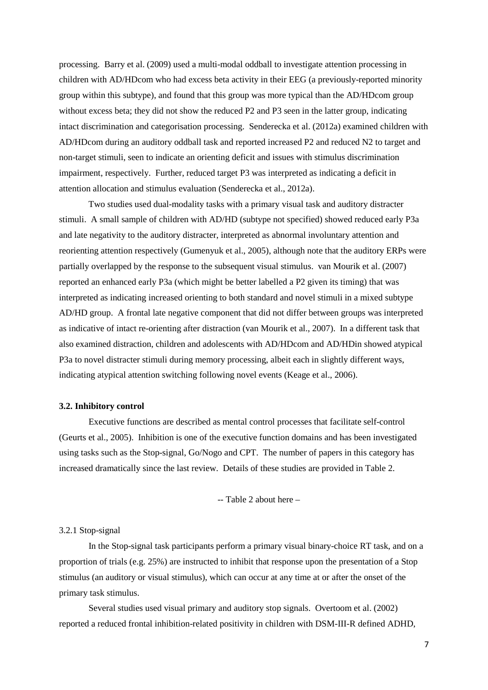processing. Barry et al. [\(2009\)](#page-20-6) used a multi-modal oddball to investigate attention processing in children with AD/HDcom who had excess beta activity in their EEG (a previously-reported minority group within this subtype), and found that this group was more typical than the AD/HDcom group without excess beta; they did not show the reduced P2 and P3 seen in the latter group, indicating intact discrimination and categorisation processing. Senderecka et al. [\(2012a\)](#page-23-4) examined children with AD/HDcom during an auditory oddball task and reported increased P2 and reduced N2 to target and non-target stimuli, seen to indicate an orienting deficit and issues with stimulus discrimination impairment, respectively. Further, reduced target P3 was interpreted as indicating a deficit in attention allocation and stimulus evaluation [\(Senderecka et al., 2012a\)](#page-23-4).

Two studies used dual-modality tasks with a primary visual task and auditory distracter stimuli. A small sample of children with AD/HD (subtype not specified) showed reduced early P3a and late negativity to the auditory distracter, interpreted as abnormal involuntary attention and reorienting attention respectively [\(Gumenyuk et al., 2005\)](#page-22-3), although note that the auditory ERPs were partially overlapped by the response to the subsequent visual stimulus. van Mourik et al. [\(2007\)](#page-24-3) reported an enhanced early P3a (which might be better labelled a P2 given its timing) that was interpreted as indicating increased orienting to both standard and novel stimuli in a mixed subtype AD/HD group. A frontal late negative component that did not differ between groups was interpreted as indicative of intact re-orienting after distraction [\(van Mourik et al., 2007\)](#page-24-3). In a different task that also examined distraction, children and adolescents with AD/HDcom and AD/HDin showed atypical P3a to novel distracter stimuli during memory processing, albeit each in slightly different ways, indicating atypical attention switching following novel events [\(Keage et al., 2006\)](#page-22-0).

#### **3.2. Inhibitory control**

Executive functions are described as mental control processes that facilitate self-control [\(Geurts et al., 2005\)](#page-21-7). Inhibition is one of the executive function domains and has been investigated using tasks such as the Stop-signal, Go/Nogo and CPT. The number of papers in this category has increased dramatically since the last review. Details of these studies are provided in Table 2.

-- Table 2 about here –

#### 3.2.1 Stop-signal

In the Stop-signal task participants perform a primary visual binary-choice RT task, and on a proportion of trials (e.g. 25%) are instructed to inhibit that response upon the presentation of a Stop stimulus (an auditory or visual stimulus), which can occur at any time at or after the onset of the primary task stimulus.

Several studies used visual primary and auditory stop signals. Overtoom et al. [\(2002\)](#page-23-0) reported a reduced frontal inhibition-related positivity in children with DSM-III-R defined ADHD,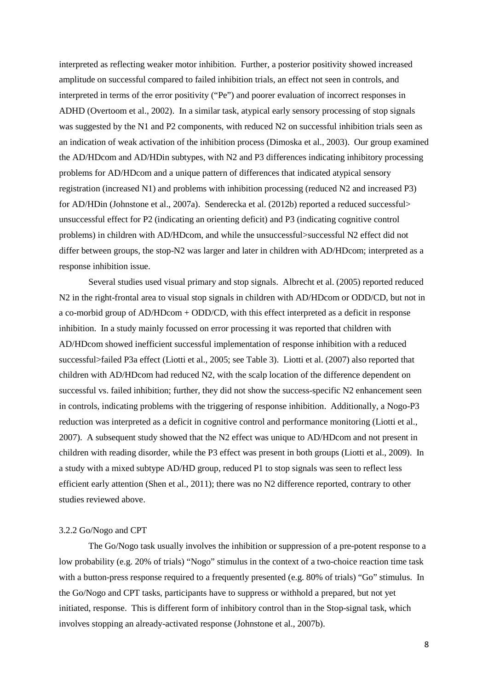interpreted as reflecting weaker motor inhibition. Further, a posterior positivity showed increased amplitude on successful compared to failed inhibition trials, an effect not seen in controls, and interpreted in terms of the error positivity ("Pe") and poorer evaluation of incorrect responses in ADHD [\(Overtoom et al., 2002\)](#page-23-0). In a similar task, atypical early sensory processing of stop signals was suggested by the N1 and P2 components, with reduced N2 on successful inhibition trials seen as an indication of weak activation of the inhibition process [\(Dimoska et al., 2003\)](#page-21-8). Our group examined the AD/HDcom and AD/HDin subtypes, with N2 and P3 differences indicating inhibitory processing problems for AD/HDcom and a unique pattern of differences that indicated atypical sensory registration (increased N1) and problems with inhibition processing (reduced N2 and increased P3) for AD/HDin [\(Johnstone et al., 2007a\)](#page-22-1). Senderecka et al. [\(2012b\)](#page-24-4) reported a reduced successful unsuccessful effect for P2 (indicating an orienting deficit) and P3 (indicating cognitive control problems) in children with AD/HDcom, and while the unsuccessful>successful N2 effect did not differ between groups, the stop-N2 was larger and later in children with AD/HDcom; interpreted as a response inhibition issue.

Several studies used visual primary and stop signals. Albrecht et al. [\(2005\)](#page-20-3) reported reduced N2 in the right-frontal area to visual stop signals in children with AD/HDcom or ODD/CD, but not in a co-morbid group of AD/HDcom + ODD/CD, with this effect interpreted as a deficit in response inhibition. In a study mainly focussed on error processing it was reported that children with AD/HDcom showed inefficient successful implementation of response inhibition with a reduced successful>failed P3a effect [\(Liotti et al., 2005; see Table 3\)](#page-23-5). Liotti et al. [\(2007\)](#page-23-6) also reported that children with AD/HDcom had reduced N2, with the scalp location of the difference dependent on successful vs. failed inhibition; further, they did not show the success-specific N2 enhancement seen in controls, indicating problems with the triggering of response inhibition. Additionally, a Nogo-P3 reduction was interpreted as a deficit in cognitive control and performance monitoring [\(Liotti et al.,](#page-23-6)  [2007\)](#page-23-6). A subsequent study showed that the N2 effect was unique to AD/HDcom and not present in children with reading disorder, while the P3 effect was present in both groups [\(Liotti et al., 2009\)](#page-23-7). In a study with a mixed subtype AD/HD group, reduced P1 to stop signals was seen to reflect less efficient early attention [\(Shen et al., 2011\)](#page-24-0); there was no N2 difference reported, contrary to other studies reviewed above.

#### 3.2.2 Go/Nogo and CPT

The Go/Nogo task usually involves the inhibition or suppression of a pre-potent response to a low probability (e.g. 20% of trials) "Nogo" stimulus in the context of a two-choice reaction time task with a button-press response required to a frequently presented (e.g. 80% of trials) "Go" stimulus. In the Go/Nogo and CPT tasks, participants have to suppress or withhold a prepared, but not yet initiated, response. This is different form of inhibitory control than in the Stop-signal task, which involves stopping an already-activated response [\(Johnstone et al., 2007b\)](#page-22-7).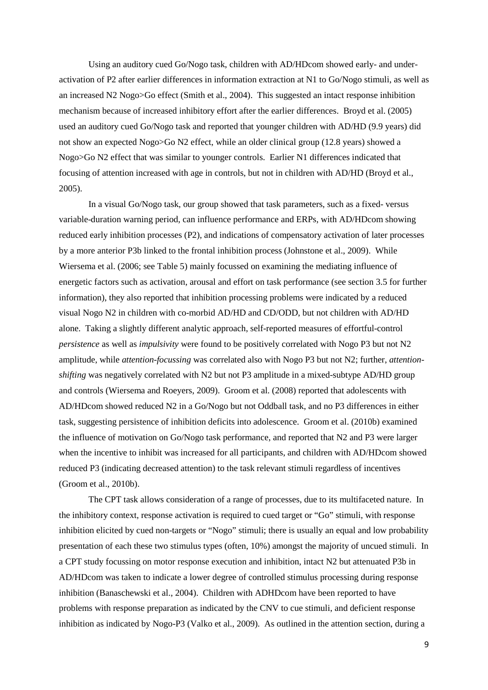Using an auditory cued Go/Nogo task, children with AD/HDcom showed early- and underactivation of P2 after earlier differences in information extraction at N1 to Go/Nogo stimuli, as well as an increased N2 Nogo>Go effect [\(Smith et al., 2004\)](#page-24-5). This suggested an intact response inhibition mechanism because of increased inhibitory effort after the earlier differences. Broyd et al. [\(2005\)](#page-21-9) used an auditory cued Go/Nogo task and reported that younger children with AD/HD (9.9 years) did not show an expected Nogo>Go N2 effect, while an older clinical group (12.8 years) showed a Nogo>Go N2 effect that was similar to younger controls. Earlier N1 differences indicated that focusing of attention increased with age in controls, but not in children with AD/HD [\(Broyd et al.,](#page-21-9)  [2005\)](#page-21-9).

In a visual Go/Nogo task, our group showed that task parameters, such as a fixed- versus variable-duration warning period, can influence performance and ERPs, with AD/HDcom showing reduced early inhibition processes (P2), and indications of compensatory activation of later processes by a more anterior P3b linked to the frontal inhibition process [\(Johnstone et al., 2009\)](#page-22-8). While Wiersema et al. [\(2006; see Table 5\)](#page-25-4) mainly focussed on examining the mediating influence of energetic factors such as activation, arousal and effort on task performance (see section 3.5 for further information), they also reported that inhibition processing problems were indicated by a reduced visual Nogo N2 in children with co-morbid AD/HD and CD/ODD, but not children with AD/HD alone. Taking a slightly different analytic approach, self-reported measures of effortful-control *persistence* as well as *impulsivity* were found to be positively correlated with Nogo P3 but not N2 amplitude, while *attention-focussing* was correlated also with Nogo P3 but not N2; further, *attentionshifting* was negatively correlated with N2 but not P3 amplitude in a mixed-subtype AD/HD group and controls [\(Wiersema and Roeyers, 2009\)](#page-25-6). Groom et al. [\(2008\)](#page-21-10) reported that adolescents with AD/HDcom showed reduced N2 in a Go/Nogo but not Oddball task, and no P3 differences in either task, suggesting persistence of inhibition deficits into adolescence. Groom et al. [\(2010b\)](#page-22-2) examined the influence of motivation on Go/Nogo task performance, and reported that N2 and P3 were larger when the incentive to inhibit was increased for all participants, and children with AD/HDcom showed reduced P3 (indicating decreased attention) to the task relevant stimuli regardless of incentives [\(Groom et al., 2010b\)](#page-22-2).

The CPT task allows consideration of a range of processes, due to its multifaceted nature. In the inhibitory context, response activation is required to cued target or "Go" stimuli, with response inhibition elicited by cued non-targets or "Nogo" stimuli; there is usually an equal and low probability presentation of each these two stimulus types (often, 10%) amongst the majority of uncued stimuli. In a CPT study focussing on motor response execution and inhibition, intact N2 but attenuated P3b in AD/HDcom was taken to indicate a lower degree of controlled stimulus processing during response inhibition [\(Banaschewski et al., 2004\)](#page-20-7). Children with ADHDcom have been reported to have problems with response preparation as indicated by the CNV to cue stimuli, and deficient response inhibition as indicated by Nogo-P3 [\(Valko et al., 2009\)](#page-24-6). As outlined in the attention section, during a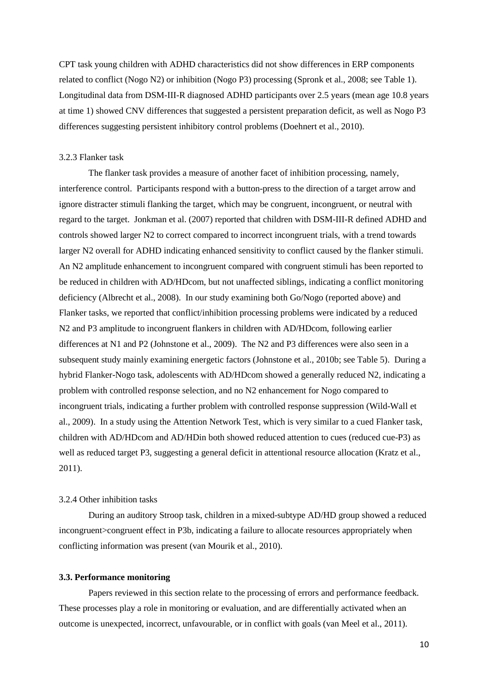CPT task young children with ADHD characteristics did not show differences in ERP components related to conflict (Nogo N2) or inhibition (Nogo P3) processing [\(Spronk et al., 2008; see Table 1\)](#page-24-1). Longitudinal data from DSM-III-R diagnosed ADHD participants over 2.5 years (mean age 10.8 years at time 1) showed CNV differences that suggested a persistent preparation deficit, as well as Nogo P3 differences suggesting persistent inhibitory control problems [\(Doehnert et al., 2010\)](#page-21-3).

# 3.2.3 Flanker task

The flanker task provides a measure of another facet of inhibition processing, namely, interference control. Participants respond with a button-press to the direction of a target arrow and ignore distracter stimuli flanking the target, which may be congruent, incongruent, or neutral with regard to the target. Jonkman et al. [\(2007\)](#page-22-9) reported that children with DSM-III-R defined ADHD and controls showed larger N2 to correct compared to incorrect incongruent trials, with a trend towards larger N2 overall for ADHD indicating enhanced sensitivity to conflict caused by the flanker stimuli. An N2 amplitude enhancement to incongruent compared with congruent stimuli has been reported to be reduced in children with AD/HDcom, but not unaffected siblings, indicating a conflict monitoring deficiency [\(Albrecht et al., 2008\)](#page-20-8). In our study examining both Go/Nogo (reported above) and Flanker tasks, we reported that conflict/inhibition processing problems were indicated by a reduced N2 and P3 amplitude to incongruent flankers in children with AD/HDcom, following earlier differences at N1 and P2 [\(Johnstone et al., 2009\)](#page-22-8). The N2 and P3 differences were also seen in a subsequent study mainly examining energetic factors [\(Johnstone et al., 2010b; see Table 5\)](#page-22-10). During a hybrid Flanker-Nogo task, adolescents with AD/HDcom showed a generally reduced N2, indicating a problem with controlled response selection, and no N2 enhancement for Nogo compared to incongruent trials, indicating a further problem with controlled response suppression [\(Wild-Wall et](#page-25-1)  [al., 2009\)](#page-25-1). In a study using the Attention Network Test, which is very similar to a cued Flanker task, children with AD/HDcom and AD/HDin both showed reduced attention to cues (reduced cue-P3) as well as reduced target P3, suggesting a general deficit in attentional resource allocation [\(Kratz et al.,](#page-23-1)  [2011\)](#page-23-1).

# 3.2.4 Other inhibition tasks

During an auditory Stroop task, children in a mixed-subtype AD/HD group showed a reduced incongruent>congruent effect in P3b, indicating a failure to allocate resources appropriately when conflicting information was present [\(van Mourik et al., 2010\)](#page-24-7).

# **3.3. Performance monitoring**

Papers reviewed in this section relate to the processing of errors and performance feedback. These processes play a role in monitoring or evaluation, and are differentially activated when an outcome is unexpected, incorrect, unfavourable, or in conflict with goals [\(van Meel et al., 2011\)](#page-24-8).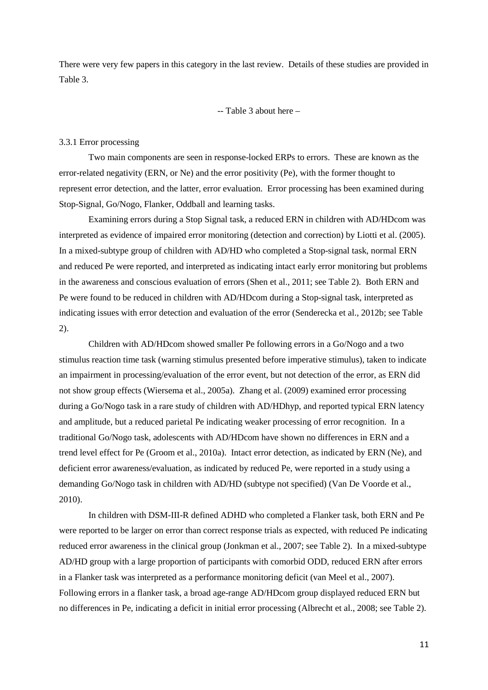There were very few papers in this category in the last review. Details of these studies are provided in Table 3.

-- Table 3 about here –

#### 3.3.1 Error processing

Two main components are seen in response-locked ERPs to errors. These are known as the error-related negativity (ERN, or Ne) and the error positivity (Pe), with the former thought to represent error detection, and the latter, error evaluation. Error processing has been examined during Stop-Signal, Go/Nogo, Flanker, Oddball and learning tasks.

Examining errors during a Stop Signal task, a reduced ERN in children with AD/HDcom was interpreted as evidence of impaired error monitoring (detection and correction) by Liotti et al. [\(2005\)](#page-20-9). In a mixed-subtype group of children with AD/HD who completed a Stop-signal task, normal ERN and reduced Pe were reported, and interpreted as indicating intact early error monitoring but problems in the awareness and conscious evaluation of errors [\(Shen et al., 2011; see Table 2\)](#page-24-0). Both ERN and Pe were found to be reduced in children with AD/HDcom during a Stop-signal task, interpreted as indicating issues with error detection and evaluation of the error [\(Senderecka et al., 2012b; see Table](#page-24-4)  [2\)](#page-24-4).

Children with AD/HDcom showed smaller Pe following errors in a Go/Nogo and a two stimulus reaction time task (warning stimulus presented before imperative stimulus), taken to indicate an impairment in processing/evaluation of the error event, but not detection of the error, as ERN did not show group effects [\(Wiersema et al., 2005a\)](#page-25-7). Zhang et al. [\(2009\)](#page-25-0) examined error processing during a Go/Nogo task in a rare study of children with AD/HDhyp, and reported typical ERN latency and amplitude, but a reduced parietal Pe indicating weaker processing of error recognition. In a traditional Go/Nogo task, adolescents with AD/HDcom have shown no differences in ERN and a trend level effect for Pe [\(Groom et al., 2010a\)](#page-21-11). Intact error detection, as indicated by ERN (Ne), and deficient error awareness/evaluation, as indicated by reduced Pe, were reported in a study using a demanding Go/Nogo task in children with AD/HD (subtype not specified) [\(Van De Voorde et al.,](#page-24-9)  [2010\)](#page-24-9).

In children with DSM-III-R defined ADHD who completed a Flanker task, both ERN and Pe were reported to be larger on error than correct response trials as expected, with reduced Pe indicating reduced error awareness in the clinical group [\(Jonkman et al., 2007; see Table 2\)](#page-22-9). In a mixed-subtype AD/HD group with a large proportion of participants with comorbid ODD, reduced ERN after errors in a Flanker task was interpreted as a performance monitoring deficit [\(van Meel et al., 2007\)](#page-24-10). Following errors in a flanker task, a broad age-range AD/HDcom group displayed reduced ERN but no differences in Pe, indicating a deficit in initial error processing [\(Albrecht et al., 2008; see Table 2\)](#page-20-8).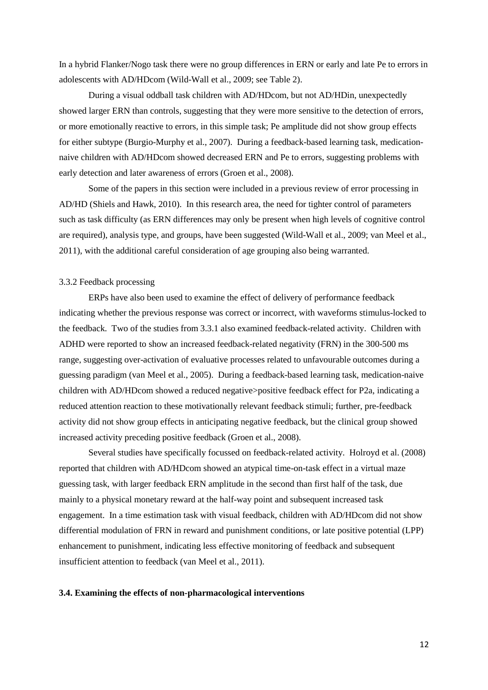In a hybrid Flanker/Nogo task there were no group differences in ERN or early and late Pe to errors in adolescents with AD/HDcom [\(Wild-Wall et al., 2009; see Table 2\)](#page-25-1).

During a visual oddball task children with AD/HDcom, but not AD/HDin, unexpectedly showed larger ERN than controls, suggesting that they were more sensitive to the detection of errors, or more emotionally reactive to errors, in this simple task; Pe amplitude did not show group effects for either subtype [\(Burgio-Murphy et al., 2007\)](#page-21-2). During a feedback-based learning task, medicationnaive children with AD/HDcom showed decreased ERN and Pe to errors, suggesting problems with early detection and later awareness of errors [\(Groen et al., 2008\)](#page-21-12).

Some of the papers in this section were included in a previous review of error processing in AD/HD [\(Shiels and Hawk, 2010\)](#page-24-11). In this research area, the need for tighter control of parameters such as task difficulty (as ERN differences may only be present when high levels of cognitive control are required), analysis type, and groups, have been suggested [\(Wild-Wall et al., 2009;](#page-25-1) [van Meel et al.,](#page-24-8)  [2011\)](#page-24-8), with the additional careful consideration of age grouping also being warranted.

# 3.3.2 Feedback processing

ERPs have also been used to examine the effect of delivery of performance feedback indicating whether the previous response was correct or incorrect, with waveforms stimulus-locked to the feedback. Two of the studies from 3.3.1 also examined feedback-related activity. Children with ADHD were reported to show an increased feedback-related negativity (FRN) in the 300-500 ms range, suggesting over-activation of evaluative processes related to unfavourable outcomes during a guessing paradigm [\(van Meel et al., 2005\)](#page-24-12). During a feedback-based learning task, medication-naive children with AD/HDcom showed a reduced negative>positive feedback effect for P2a, indicating a reduced attention reaction to these motivationally relevant feedback stimuli; further, pre-feedback activity did not show group effects in anticipating negative feedback, but the clinical group showed increased activity preceding positive feedback [\(Groen et al., 2008\)](#page-21-12).

Several studies have specifically focussed on feedback-related activity. Holroyd et al. [\(2008\)](#page-22-4) reported that children with AD/HDcom showed an atypical time-on-task effect in a virtual maze guessing task, with larger feedback ERN amplitude in the second than first half of the task, due mainly to a physical monetary reward at the half-way point and subsequent increased task engagement. In a time estimation task with visual feedback, children with AD/HDcom did not show differential modulation of FRN in reward and punishment conditions, or late positive potential (LPP) enhancement to punishment, indicating less effective monitoring of feedback and subsequent insufficient attention to feedback [\(van Meel et al., 2011\)](#page-24-8).

#### **3.4. Examining the effects of non-pharmacological interventions**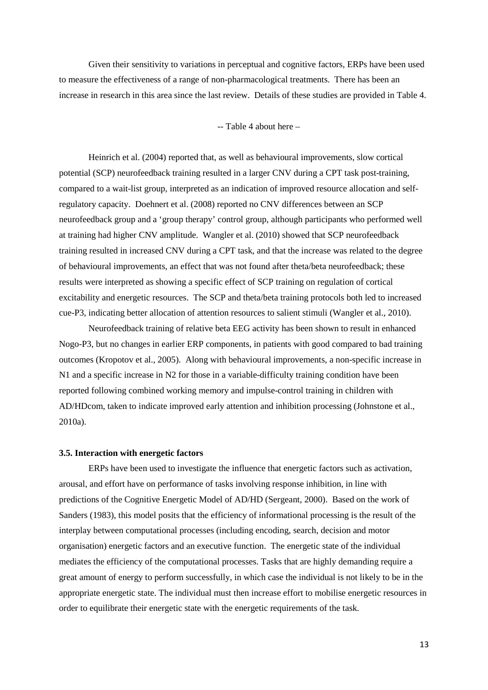Given their sensitivity to variations in perceptual and cognitive factors, ERPs have been used to measure the effectiveness of a range of non-pharmacological treatments. There has been an increase in research in this area since the last review. Details of these studies are provided in Table 4.

-- Table 4 about here –

Heinrich et al. [\(2004\)](#page-22-11) reported that, as well as behavioural improvements, slow cortical potential (SCP) neurofeedback training resulted in a larger CNV during a CPT task post-training, compared to a wait-list group, interpreted as an indication of improved resource allocation and selfregulatory capacity. Doehnert et al. [\(2008\)](#page-21-13) reported no CNV differences between an SCP neurofeedback group and a 'group therapy' control group, although participants who performed well at training had higher CNV amplitude. Wangler et al. [\(2010\)](#page-25-8) showed that SCP neurofeedback training resulted in increased CNV during a CPT task, and that the increase was related to the degree of behavioural improvements, an effect that was not found after theta/beta neurofeedback; these results were interpreted as showing a specific effect of SCP training on regulation of cortical excitability and energetic resources. The SCP and theta/beta training protocols both led to increased cue-P3, indicating better allocation of attention resources to salient stimuli [\(Wangler et al., 2010\)](#page-25-8).

Neurofeedback training of relative beta EEG activity has been shown to result in enhanced Nogo-P3, but no changes in earlier ERP components, in patients with good compared to bad training outcomes [\(Kropotov et al., 2005\)](#page-23-8). Along with behavioural improvements, a non-specific increase in N1 and a specific increase in N2 for those in a variable-difficulty training condition have been reported following combined working memory and impulse-control training in children with AD/HDcom, taken to indicate improved early attention and inhibition processing [\(Johnstone et al.,](#page-22-12)  [2010a\)](#page-22-12).

#### **3.5. Interaction with energetic factors**

ERPs have been used to investigate the influence that energetic factors such as activation, arousal, and effort have on performance of tasks involving response inhibition, in line with predictions of the Cognitive Energetic Model of AD/HD [\(Sergeant, 2000\)](#page-24-13). Based on the work of Sanders (1983), this model posits that the efficiency of informational processing is the result of the interplay between computational processes (including encoding, search, decision and motor organisation) energetic factors and an executive function. The energetic state of the individual mediates the efficiency of the computational processes. Tasks that are highly demanding require a great amount of energy to perform successfully, in which case the individual is not likely to be in the appropriate energetic state. The individual must then increase effort to mobilise energetic resources in order to equilibrate their energetic state with the energetic requirements of the task.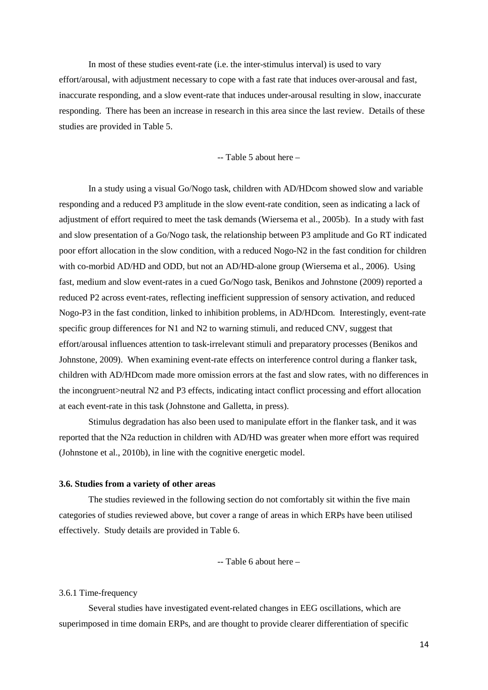In most of these studies event-rate (i.e. the inter-stimulus interval) is used to vary effort/arousal, with adjustment necessary to cope with a fast rate that induces over-arousal and fast, inaccurate responding, and a slow event-rate that induces under-arousal resulting in slow, inaccurate responding. There has been an increase in research in this area since the last review. Details of these studies are provided in Table 5.

-- Table 5 about here –

In a study using a visual Go/Nogo task, children with AD/HDcom showed slow and variable responding and a reduced P3 amplitude in the slow event-rate condition, seen as indicating a lack of adjustment of effort required to meet the task demands [\(Wiersema et al., 2005b\)](#page-25-9). In a study with fast and slow presentation of a Go/Nogo task, the relationship between P3 amplitude and Go RT indicated poor effort allocation in the slow condition, with a reduced Nogo-N2 in the fast condition for children with co-morbid AD/HD and ODD, but not an AD/HD-alone group [\(Wiersema et al., 2006\)](#page-25-4). Using fast, medium and slow event-rates in a cued Go/Nogo task, Benikos and Johnstone [\(2009\)](#page-20-10) reported a reduced P2 across event-rates, reflecting inefficient suppression of sensory activation, and reduced Nogo-P3 in the fast condition, linked to inhibition problems, in AD/HDcom. Interestingly, event-rate specific group differences for N1 and N2 to warning stimuli, and reduced CNV, suggest that effort/arousal influences attention to task-irrelevant stimuli and preparatory processes [\(Benikos and](#page-20-10)  [Johnstone, 2009\)](#page-20-10). When examining event-rate effects on interference control during a flanker task, children with AD/HDcom made more omission errors at the fast and slow rates, with no differences in the incongruent>neutral N2 and P3 effects, indicating intact conflict processing and effort allocation at each event-rate in this task [\(Johnstone and Galletta, in press\)](#page-22-13).

Stimulus degradation has also been used to manipulate effort in the flanker task, and it was reported that the N2a reduction in children with AD/HD was greater when more effort was required [\(Johnstone et al., 2010b\)](#page-22-10), in line with the cognitive energetic model.

# **3.6. Studies from a variety of other areas**

The studies reviewed in the following section do not comfortably sit within the five main categories of studies reviewed above, but cover a range of areas in which ERPs have been utilised effectively. Study details are provided in Table 6.

-- Table 6 about here –

#### 3.6.1 Time-frequency

Several studies have investigated event-related changes in EEG oscillations, which are superimposed in time domain ERPs, and are thought to provide clearer differentiation of specific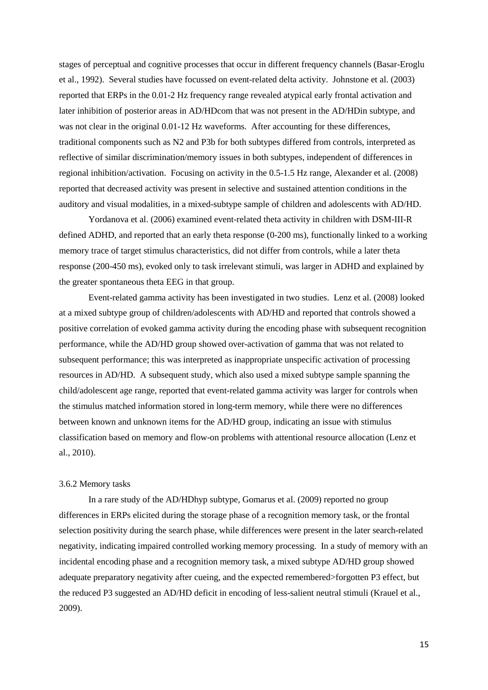stages of perceptual and cognitive processes that occur in different frequency channels [\(Basar-Eroglu](#page-20-11)  [et al., 1992\)](#page-20-11). Several studies have focussed on event-related delta activity. Johnstone et al. [\(2003\)](#page-22-14) reported that ERPs in the 0.01-2 Hz frequency range revealed atypical early frontal activation and later inhibition of posterior areas in AD/HDcom that was not present in the AD/HDin subtype, and was not clear in the original 0.01-12 Hz waveforms. After accounting for these differences, traditional components such as N2 and P3b for both subtypes differed from controls, interpreted as reflective of similar discrimination/memory issues in both subtypes, independent of differences in regional inhibition/activation. Focusing on activity in the 0.5-1.5 Hz range, Alexander et al. [\(2008\)](#page-20-1) reported that decreased activity was present in selective and sustained attention conditions in the auditory and visual modalities, in a mixed-subtype sample of children and adolescents with AD/HD.

Yordanova et al. [\(2006\)](#page-25-10) examined event-related theta activity in children with DSM-III-R defined ADHD, and reported that an early theta response (0-200 ms), functionally linked to a working memory trace of target stimulus characteristics, did not differ from controls, while a later theta response (200-450 ms), evoked only to task irrelevant stimuli, was larger in ADHD and explained by the greater spontaneous theta EEG in that group.

Event-related gamma activity has been investigated in two studies. Lenz et al. [\(2008\)](#page-23-9) looked at a mixed subtype group of children/adolescents with AD/HD and reported that controls showed a positive correlation of evoked gamma activity during the encoding phase with subsequent recognition performance, while the AD/HD group showed over-activation of gamma that was not related to subsequent performance; this was interpreted as inappropriate unspecific activation of processing resources in AD/HD. A subsequent study, which also used a mixed subtype sample spanning the child/adolescent age range, reported that event-related gamma activity was larger for controls when the stimulus matched information stored in long-term memory, while there were no differences between known and unknown items for the AD/HD group, indicating an issue with stimulus classification based on memory and flow-on problems with attentional resource allocation [\(Lenz et](#page-23-10)  [al., 2010\)](#page-23-10).

#### 3.6.2 Memory tasks

In a rare study of the AD/HDhyp subtype, Gomarus et al. [\(2009\)](#page-21-1) reported no group differences in ERPs elicited during the storage phase of a recognition memory task, or the frontal selection positivity during the search phase, while differences were present in the later search-related negativity, indicating impaired controlled working memory processing. In a study of memory with an incidental encoding phase and a recognition memory task, a mixed subtype AD/HD group showed adequate preparatory negativity after cueing, and the expected remembered>forgotten P3 effect, but the reduced P3 suggested an AD/HD deficit in encoding of less-salient neutral stimuli [\(Krauel et al.,](#page-23-11)  [2009\)](#page-23-11).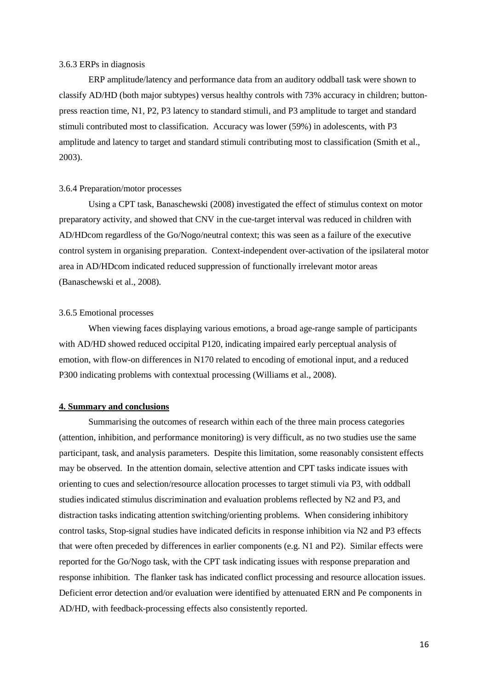#### 3.6.3 ERPs in diagnosis

ERP amplitude/latency and performance data from an auditory oddball task were shown to classify AD/HD (both major subtypes) versus healthy controls with 73% accuracy in children; buttonpress reaction time, N1, P2, P3 latency to standard stimuli, and P3 amplitude to target and standard stimuli contributed most to classification. Accuracy was lower (59%) in adolescents, with P3 amplitude and latency to target and standard stimuli contributing most to classification [\(Smith et al.,](#page-24-14)  [2003\)](#page-24-14).

#### 3.6.4 Preparation/motor processes

Using a CPT task, Banaschewski [\(2008\)](#page-20-12) investigated the effect of stimulus context on motor preparatory activity, and showed that CNV in the cue-target interval was reduced in children with AD/HDcom regardless of the Go/Nogo/neutral context; this was seen as a failure of the executive control system in organising preparation. Context-independent over-activation of the ipsilateral motor area in AD/HDcom indicated reduced suppression of functionally irrelevant motor areas [\(Banaschewski et al., 2008\)](#page-20-12).

#### 3.6.5 Emotional processes

When viewing faces displaying various emotions, a broad age-range sample of participants with AD/HD showed reduced occipital P120, indicating impaired early perceptual analysis of emotion, with flow-on differences in N170 related to encoding of emotional input, and a reduced P300 indicating problems with contextual processing [\(Williams et al., 2008\)](#page-25-2).

#### **4. Summary and conclusions**

Summarising the outcomes of research within each of the three main process categories (attention, inhibition, and performance monitoring) is very difficult, as no two studies use the same participant, task, and analysis parameters. Despite this limitation, some reasonably consistent effects may be observed. In the attention domain, selective attention and CPT tasks indicate issues with orienting to cues and selection/resource allocation processes to target stimuli via P3, with oddball studies indicated stimulus discrimination and evaluation problems reflected by N2 and P3, and distraction tasks indicating attention switching/orienting problems. When considering inhibitory control tasks, Stop-signal studies have indicated deficits in response inhibition via N2 and P3 effects that were often preceded by differences in earlier components (e.g. N1 and P2). Similar effects were reported for the Go/Nogo task, with the CPT task indicating issues with response preparation and response inhibition. The flanker task has indicated conflict processing and resource allocation issues. Deficient error detection and/or evaluation were identified by attenuated ERN and Pe components in AD/HD, with feedback-processing effects also consistently reported.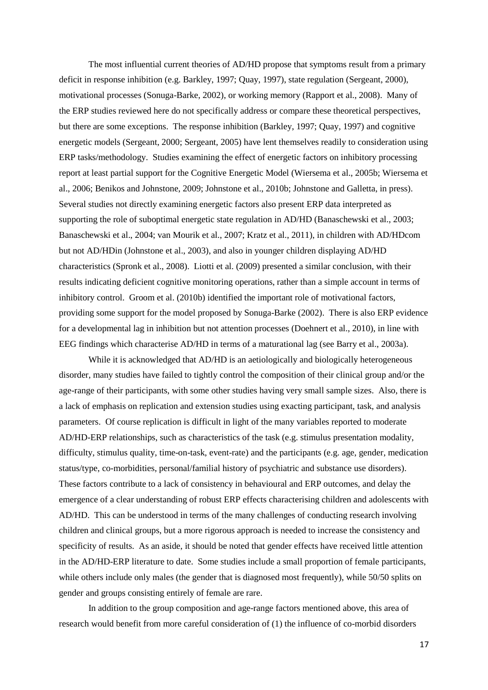The most influential current theories of AD/HD propose that symptoms result from a primary deficit in response inhibition (e.g. Barkley, 1997; Quay, 1997), state regulation (Sergeant, 2000), motivational processes [\(Sonuga-Barke, 2002\)](#page-24-15), or working memory [\(Rapport et al., 2008\)](#page-23-12). Many of the ERP studies reviewed here do not specifically address or compare these theoretical perspectives, but there are some exceptions. The response inhibition [\(Barkley, 1997;](#page-20-13) [Quay, 1997\)](#page-23-13) and cognitive energetic models [\(Sergeant, 2000;](#page-24-13) [Sergeant, 2005\)](#page-24-16) have lent themselves readily to consideration using ERP tasks/methodology. Studies examining the effect of energetic factors on inhibitory processing report at least partial support for the Cognitive Energetic Model [\(Wiersema et al., 2005b;](#page-25-9) [Wiersema et](#page-25-4)  [al., 2006;](#page-25-4) [Benikos and Johnstone, 2009;](#page-20-10) [Johnstone et al., 2010b;](#page-22-10) [Johnstone and Galletta, in press\)](#page-22-13). Several studies not directly examining energetic factors also present ERP data interpreted as supporting the role of suboptimal energetic state regulation in AD/HD [\(Banaschewski et al., 2003;](#page-20-4) [Banaschewski et al., 2004;](#page-20-7) [van Mourik et al., 2007;](#page-24-3) [Kratz et al., 2011\)](#page-23-1), in children with AD/HDcom but not AD/HDin [\(Johnstone et al.,](#page-22-14) 2003), and also in younger children displaying AD/HD characteristics [\(Spronk et al., 2008\)](#page-24-1). Liotti et al. [\(2009\)](#page-23-7) presented a similar conclusion, with their results indicating deficient cognitive monitoring operations, rather than a simple account in terms of inhibitory control. Groom et al. [\(2010b\)](#page-22-2) identified the important role of motivational factors, providing some support for the model proposed by Sonuga-Barke [\(2002\)](#page-24-15). There is also ERP evidence for a developmental lag in inhibition but not attention processes [\(Doehnert et al., 2010\)](#page-21-3), in line with EEG findings which characterise AD/HD in terms of a maturational lag [\(see Barry et al., 2003a\)](#page-20-14).

While it is acknowledged that AD/HD is an aetiologically and biologically heterogeneous disorder, many studies have failed to tightly control the composition of their clinical group and/or the age-range of their participants, with some other studies having very small sample sizes. Also, there is a lack of emphasis on replication and extension studies using exacting participant, task, and analysis parameters. Of course replication is difficult in light of the many variables reported to moderate AD/HD-ERP relationships, such as characteristics of the task (e.g. stimulus presentation modality, difficulty, stimulus quality, time-on-task, event-rate) and the participants (e.g. age, gender, medication status/type, co-morbidities, personal/familial history of psychiatric and substance use disorders). These factors contribute to a lack of consistency in behavioural and ERP outcomes, and delay the emergence of a clear understanding of robust ERP effects characterising children and adolescents with AD/HD. This can be understood in terms of the many challenges of conducting research involving children and clinical groups, but a more rigorous approach is needed to increase the consistency and specificity of results. As an aside, it should be noted that gender effects have received little attention in the AD/HD-ERP literature to date. Some studies include a small proportion of female participants, while others include only males (the gender that is diagnosed most frequently), while 50/50 splits on gender and groups consisting entirely of female are rare.

In addition to the group composition and age-range factors mentioned above, this area of research would benefit from more careful consideration of (1) the influence of co-morbid disorders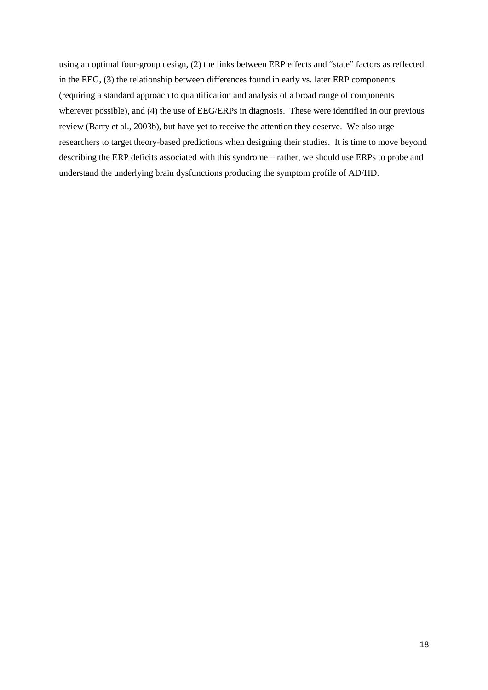using an optimal four-group design, (2) the links between ERP effects and "state" factors as reflected in the EEG, (3) the relationship between differences found in early vs. later ERP components (requiring a standard approach to quantification and analysis of a broad range of components wherever possible), and (4) the use of EEG/ERPs in diagnosis. These were identified in our previous review [\(Barry et al., 2003b\)](#page-20-2), but have yet to receive the attention they deserve. We also urge researchers to target theory-based predictions when designing their studies. It is time to move beyond describing the ERP deficits associated with this syndrome – rather, we should use ERPs to probe and understand the underlying brain dysfunctions producing the symptom profile of AD/HD.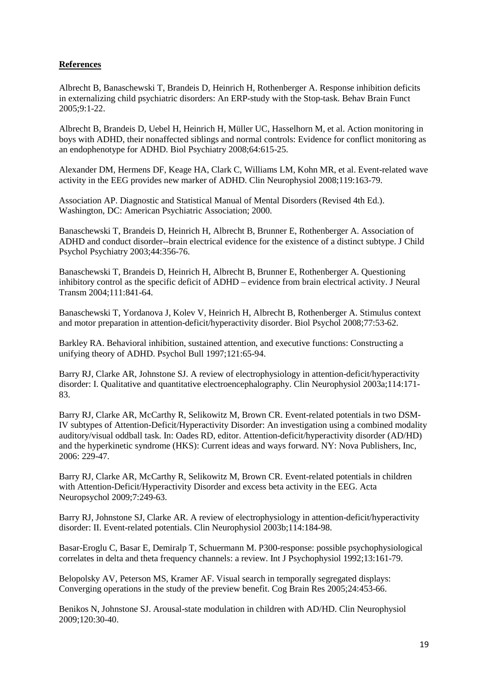# **References**

<span id="page-20-3"></span>Albrecht B, Banaschewski T, Brandeis D, Heinrich H, Rothenberger A. Response inhibition deficits in externalizing child psychiatric disorders: An ERP-study with the Stop-task. Behav Brain Funct 2005;9:1-22.

<span id="page-20-8"></span>Albrecht B, Brandeis D, Uebel H, Heinrich H, Müller UC, Hasselhorn M, et al. Action monitoring in boys with ADHD, their nonaffected siblings and normal controls: Evidence for conflict monitoring as an endophenotype for ADHD. Biol Psychiatry 2008;64:615-25.

<span id="page-20-1"></span>Alexander DM, Hermens DF, Keage HA, Clark C, Williams LM, Kohn MR, et al. Event-related wave activity in the EEG provides new marker of ADHD. Clin Neurophysiol 2008;119:163-79.

<span id="page-20-0"></span>Association AP. Diagnostic and Statistical Manual of Mental Disorders (Revised 4th Ed.). Washington, DC: American Psychiatric Association; 2000.

<span id="page-20-4"></span>Banaschewski T, Brandeis D, Heinrich H, Albrecht B, Brunner E, Rothenberger A. Association of ADHD and conduct disorder--brain electrical evidence for the existence of a distinct subtype. J Child Psychol Psychiatry 2003;44:356-76.

<span id="page-20-7"></span>Banaschewski T, Brandeis D, Heinrich H, Albrecht B, Brunner E, Rothenberger A. Questioning inhibitory control as the specific deficit of ADHD – evidence from brain electrical activity. J Neural Transm 2004;111:841-64.

<span id="page-20-12"></span>Banaschewski T, Yordanova J, Kolev V, Heinrich H, Albrecht B, Rothenberger A. Stimulus context and motor preparation in attention-deficit/hyperactivity disorder. Biol Psychol 2008;77:53-62.

<span id="page-20-13"></span>Barkley RA. Behavioral inhibition, sustained attention, and executive functions: Constructing a unifying theory of ADHD. Psychol Bull 1997;121:65-94.

<span id="page-20-14"></span>Barry RJ, Clarke AR, Johnstone SJ. A review of electrophysiology in attention-deficit/hyperactivity disorder: I. Qualitative and quantitative electroencephalography. Clin Neurophysiol 2003a;114:171- 83.

<span id="page-20-5"></span>Barry RJ, Clarke AR, McCarthy R, Selikowitz M, Brown CR. Event-related potentials in two DSM-IV subtypes of Attention-Deficit/Hyperactivity Disorder: An investigation using a combined modality auditory/visual oddball task. In: Oades RD, editor. Attention-deficit/hyperactivity disorder (AD/HD) and the hyperkinetic syndrome (HKS): Current ideas and ways forward. NY: Nova Publishers, Inc, 2006: 229-47.

<span id="page-20-6"></span>Barry RJ, Clarke AR, McCarthy R, Selikowitz M, Brown CR. Event-related potentials in children with Attention-Deficit/Hyperactivity Disorder and excess beta activity in the EEG. Acta Neuropsychol 2009;7:249-63.

<span id="page-20-2"></span>Barry RJ, Johnstone SJ, Clarke AR. A review of electrophysiology in attention-deficit/hyperactivity disorder: II. Event-related potentials. Clin Neurophysiol 2003b;114:184-98.

<span id="page-20-11"></span>Basar-Eroglu C, Basar E, Demiralp T, Schuermann M. P300-response: possible psychophysiological correlates in delta and theta frequency channels: a review. Int J Psychophysiol 1992;13:161-79.

<span id="page-20-9"></span>Belopolsky AV, Peterson MS, Kramer AF. Visual search in temporally segregated displays: Converging operations in the study of the preview benefit. Cog Brain Res 2005;24:453-66.

<span id="page-20-10"></span>Benikos N, Johnstone SJ. Arousal-state modulation in children with AD/HD. Clin Neurophysiol 2009;120:30-40.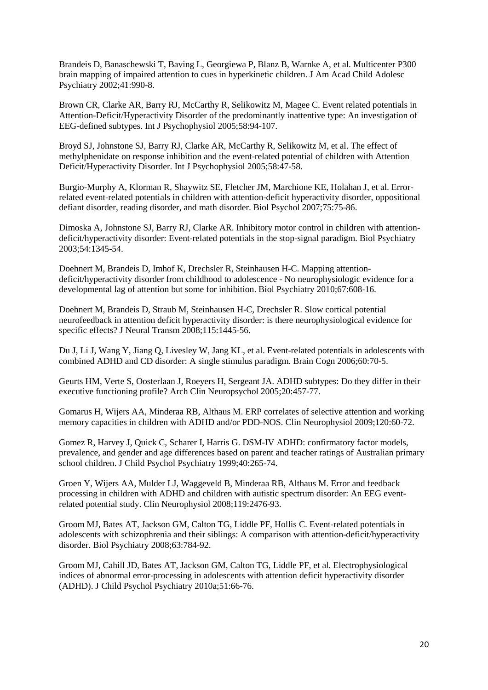<span id="page-21-4"></span>Brandeis D, Banaschewski T, Baving L, Georgiewa P, Blanz B, Warnke A, et al. Multicenter P300 brain mapping of impaired attention to cues in hyperkinetic children. J Am Acad Child Adolesc Psychiatry 2002;41:990-8.

<span id="page-21-5"></span>Brown CR, Clarke AR, Barry RJ, McCarthy R, Selikowitz M, Magee C. Event related potentials in Attention-Deficit/Hyperactivity Disorder of the predominantly inattentive type: An investigation of EEG-defined subtypes. Int J Psychophysiol 2005;58:94-107.

<span id="page-21-9"></span>Broyd SJ, Johnstone SJ, Barry RJ, Clarke AR, McCarthy R, Selikowitz M, et al. The effect of methylphenidate on response inhibition and the event-related potential of children with Attention Deficit/Hyperactivity Disorder. Int J Psychophysiol 2005;58:47-58.

<span id="page-21-2"></span>Burgio-Murphy A, Klorman R, Shaywitz SE, Fletcher JM, Marchione KE, Holahan J, et al. Errorrelated event-related potentials in children with attention-deficit hyperactivity disorder, oppositional defiant disorder, reading disorder, and math disorder. Biol Psychol 2007;75:75-86.

<span id="page-21-8"></span>Dimoska A, Johnstone SJ, Barry RJ, Clarke AR. Inhibitory motor control in children with attentiondeficit/hyperactivity disorder: Event-related potentials in the stop-signal paradigm. Biol Psychiatry 2003;54:1345-54.

<span id="page-21-3"></span>Doehnert M, Brandeis D, Imhof K, Drechsler R, Steinhausen H-C. Mapping attentiondeficit/hyperactivity disorder from childhood to adolescence - No neurophysiologic evidence for a developmental lag of attention but some for inhibition. Biol Psychiatry 2010;67:608-16.

<span id="page-21-13"></span>Doehnert M, Brandeis D, Straub M, Steinhausen H-C, Drechsler R. Slow cortical potential neurofeedback in attention deficit hyperactivity disorder: is there neurophysiological evidence for specific effects? J Neural Transm 2008;115:1445-56.

<span id="page-21-6"></span>Du J, Li J, Wang Y, Jiang Q, Livesley W, Jang KL, et al. Event-related potentials in adolescents with combined ADHD and CD disorder: A single stimulus paradigm. Brain Cogn 2006;60:70-5.

<span id="page-21-7"></span>Geurts HM, Verte S, Oosterlaan J, Roeyers H, Sergeant JA. ADHD subtypes: Do they differ in their executive functioning profile? Arch Clin Neuropsychol 2005;20:457-77.

<span id="page-21-1"></span>Gomarus H, Wijers AA, Minderaa RB, Althaus M. ERP correlates of selective attention and working memory capacities in children with ADHD and/or PDD-NOS. Clin Neurophysiol 2009;120:60-72.

<span id="page-21-0"></span>Gomez R, Harvey J, Quick C, Scharer I, Harris G. DSM-IV ADHD: confirmatory factor models, prevalence, and gender and age differences based on parent and teacher ratings of Australian primary school children. J Child Psychol Psychiatry 1999;40:265-74.

<span id="page-21-12"></span>Groen Y, Wijers AA, Mulder LJ, Waggeveld B, Minderaa RB, Althaus M. Error and feedback processing in children with ADHD and children with autistic spectrum disorder: An EEG eventrelated potential study. Clin Neurophysiol 2008;119:2476-93.

<span id="page-21-10"></span>Groom MJ, Bates AT, Jackson GM, Calton TG, Liddle PF, Hollis C. Event-related potentials in adolescents with schizophrenia and their siblings: A comparison with attention-deficit/hyperactivity disorder. Biol Psychiatry 2008;63:784-92.

<span id="page-21-11"></span>Groom MJ, Cahill JD, Bates AT, Jackson GM, Calton TG, Liddle PF, et al. Electrophysiological indices of abnormal error-processing in adolescents with attention deficit hyperactivity disorder (ADHD). J Child Psychol Psychiatry 2010a;51:66-76.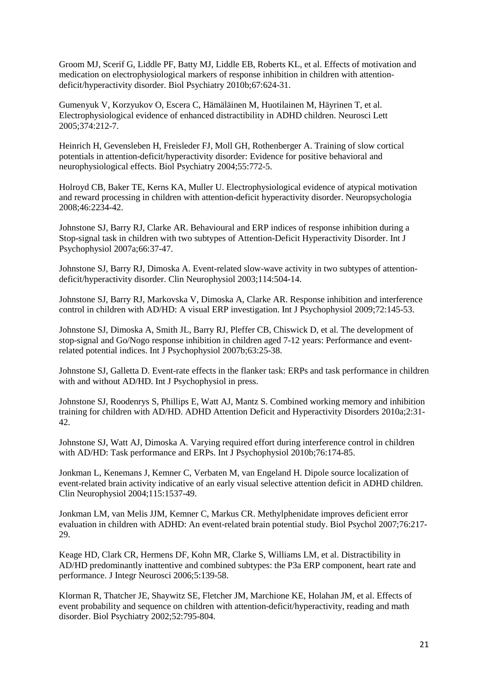<span id="page-22-2"></span>Groom MJ, Scerif G, Liddle PF, Batty MJ, Liddle EB, Roberts KL, et al. Effects of motivation and medication on electrophysiological markers of response inhibition in children with attentiondeficit/hyperactivity disorder. Biol Psychiatry 2010b;67:624-31.

<span id="page-22-3"></span>Gumenyuk V, Korzyukov O, Escera C, Hämäläinen M, Huotilainen M, Häyrinen T, et al. Electrophysiological evidence of enhanced distractibility in ADHD children. Neurosci Lett 2005;374:212-7.

<span id="page-22-11"></span>Heinrich H, Gevensleben H, Freisleder FJ, Moll GH, Rothenberger A. Training of slow cortical potentials in attention-deficit/hyperactivity disorder: Evidence for positive behavioral and neurophysiological effects. Biol Psychiatry 2004;55:772-5.

<span id="page-22-4"></span>Holroyd CB, Baker TE, Kerns KA, Muller U. Electrophysiological evidence of atypical motivation and reward processing in children with attention-deficit hyperactivity disorder. Neuropsychologia 2008;46:2234-42.

<span id="page-22-1"></span>Johnstone SJ, Barry RJ, Clarke AR. Behavioural and ERP indices of response inhibition during a Stop-signal task in children with two subtypes of Attention-Deficit Hyperactivity Disorder. Int J Psychophysiol 2007a;66:37-47.

<span id="page-22-14"></span>Johnstone SJ, Barry RJ, Dimoska A. Event-related slow-wave activity in two subtypes of attentiondeficit/hyperactivity disorder. Clin Neurophysiol 2003;114:504-14.

<span id="page-22-8"></span>Johnstone SJ, Barry RJ, Markovska V, Dimoska A, Clarke AR. Response inhibition and interference control in children with AD/HD: A visual ERP investigation. Int J Psychophysiol 2009;72:145-53.

<span id="page-22-7"></span>Johnstone SJ, Dimoska A, Smith JL, Barry RJ, Pleffer CB, Chiswick D, et al. The development of stop-signal and Go/Nogo response inhibition in children aged 7-12 years: Performance and eventrelated potential indices. Int J Psychophysiol 2007b;63:25-38.

<span id="page-22-13"></span>Johnstone SJ, Galletta D. Event-rate effects in the flanker task: ERPs and task performance in children with and without AD/HD. Int J Psychophysiol in press.

<span id="page-22-12"></span>Johnstone SJ, Roodenrys S, Phillips E, Watt AJ, Mantz S. Combined working memory and inhibition training for children with AD/HD. ADHD Attention Deficit and Hyperactivity Disorders 2010a;2:31- 42.

<span id="page-22-10"></span>Johnstone SJ, Watt AJ, Dimoska A. Varying required effort during interference control in children with AD/HD: Task performance and ERPs. Int J Psychophysiol 2010b;76:174-85.

<span id="page-22-5"></span>Jonkman L, Kenemans J, Kemner C, Verbaten M, van Engeland H. Dipole source localization of event-related brain activity indicative of an early visual selective attention deficit in ADHD children. Clin Neurophysiol 2004;115:1537-49.

<span id="page-22-9"></span>Jonkman LM, van Melis JJM, Kemner C, Markus CR. Methylphenidate improves deficient error evaluation in children with ADHD: An event-related brain potential study. Biol Psychol 2007;76:217- 29.

<span id="page-22-0"></span>Keage HD, Clark CR, Hermens DF, Kohn MR, Clarke S, Williams LM, et al. Distractibility in AD/HD predominantly inattentive and combined subtypes: the P3a ERP component, heart rate and performance. J Integr Neurosci 2006;5:139-58.

<span id="page-22-6"></span>Klorman R, Thatcher JE, Shaywitz SE, Fletcher JM, Marchione KE, Holahan JM, et al. Effects of event probability and sequence on children with attention-deficit/hyperactivity, reading and math disorder. Biol Psychiatry 2002;52:795-804.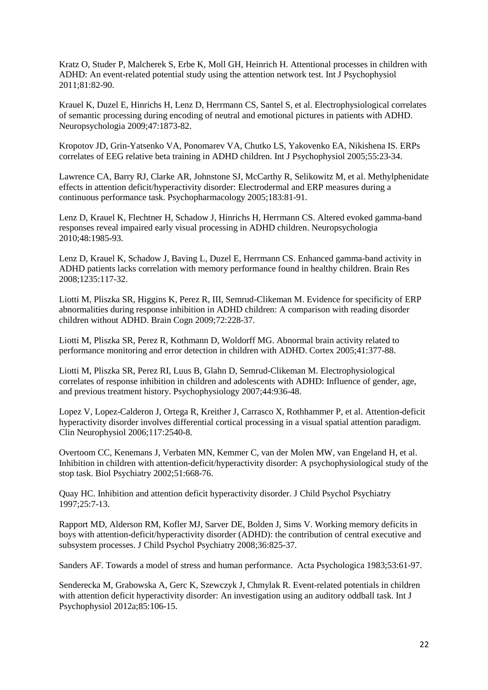<span id="page-23-1"></span>Kratz O, Studer P, Malcherek S, Erbe K, Moll GH, Heinrich H. Attentional processes in children with ADHD: An event-related potential study using the attention network test. Int J Psychophysiol 2011;81:82-90.

<span id="page-23-11"></span>Krauel K, Duzel E, Hinrichs H, Lenz D, Herrmann CS, Santel S, et al. Electrophysiological correlates of semantic processing during encoding of neutral and emotional pictures in patients with ADHD. Neuropsychologia 2009;47:1873-82.

<span id="page-23-8"></span>Kropotov JD, Grin-Yatsenko VA, Ponomarev VA, Chutko LS, Yakovenko EA, Nikishena IS. ERPs correlates of EEG relative beta training in ADHD children. Int J Psychophysiol 2005;55:23-34.

<span id="page-23-2"></span>Lawrence CA, Barry RJ, Clarke AR, Johnstone SJ, McCarthy R, Selikowitz M, et al. Methylphenidate effects in attention deficit/hyperactivity disorder: Electrodermal and ERP measures during a continuous performance task. Psychopharmacology 2005;183:81-91.

<span id="page-23-10"></span>Lenz D, Krauel K, Flechtner H, Schadow J, Hinrichs H, Herrmann CS. Altered evoked gamma-band responses reveal impaired early visual processing in ADHD children. Neuropsychologia 2010;48:1985-93.

<span id="page-23-9"></span>Lenz D, Krauel K, Schadow J, Baving L, Duzel E, Herrmann CS. Enhanced gamma-band activity in ADHD patients lacks correlation with memory performance found in healthy children. Brain Res 2008;1235:117-32.

<span id="page-23-7"></span>Liotti M, Pliszka SR, Higgins K, Perez R, III, Semrud-Clikeman M. Evidence for specificity of ERP abnormalities during response inhibition in ADHD children: A comparison with reading disorder children without ADHD. Brain Cogn 2009;72:228-37.

<span id="page-23-5"></span>Liotti M, Pliszka SR, Perez R, Kothmann D, Woldorff MG. Abnormal brain activity related to performance monitoring and error detection in children with ADHD. Cortex 2005;41:377-88.

<span id="page-23-6"></span>Liotti M, Pliszka SR, Perez RI, Luus B, Glahn D, Semrud-Clikeman M. Electrophysiological correlates of response inhibition in children and adolescents with ADHD: Influence of gender, age, and previous treatment history. Psychophysiology 2007;44:936-48.

<span id="page-23-3"></span>Lopez V, Lopez-Calderon J, Ortega R, Kreither J, Carrasco X, Rothhammer P, et al. Attention-deficit hyperactivity disorder involves differential cortical processing in a visual spatial attention paradigm. Clin Neurophysiol 2006;117:2540-8.

<span id="page-23-0"></span>Overtoom CC, Kenemans J, Verbaten MN, Kemmer C, van der Molen MW, van Engeland H, et al. Inhibition in children with attention-deficit/hyperactivity disorder: A psychophysiological study of the stop task. Biol Psychiatry 2002;51:668-76.

<span id="page-23-13"></span>Quay HC. Inhibition and attention deficit hyperactivity disorder. J Child Psychol Psychiatry 1997;25:7-13.

<span id="page-23-12"></span>Rapport MD, Alderson RM, Kofler MJ, Sarver DE, Bolden J, Sims V. Working memory deficits in boys with attention-deficit/hyperactivity disorder (ADHD): the contribution of central executive and subsystem processes. J Child Psychol Psychiatry 2008;36:825-37.

Sanders AF. Towards a model of stress and human performance. Acta Psychologica 1983;53:61-97.

<span id="page-23-4"></span>Senderecka M, Grabowska A, Gerc K, Szewczyk J, Chmylak R. Event-related potentials in children with attention deficit hyperactivity disorder: An investigation using an auditory oddball task. Int J Psychophysiol 2012a;85:106-15.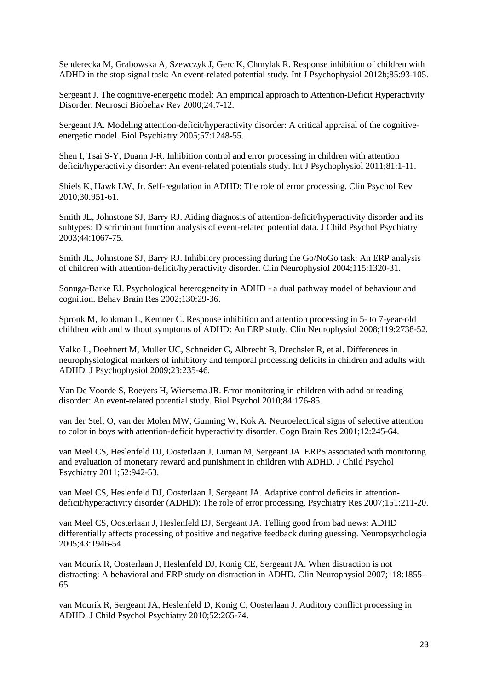<span id="page-24-4"></span>Senderecka M, Grabowska A, Szewczyk J, Gerc K, Chmylak R. Response inhibition of children with ADHD in the stop-signal task: An event-related potential study. Int J Psychophysiol 2012b;85:93-105.

<span id="page-24-13"></span>Sergeant J. The cognitive-energetic model: An empirical approach to Attention-Deficit Hyperactivity Disorder. Neurosci Biobehav Rev 2000;24:7-12.

<span id="page-24-16"></span>Sergeant JA. Modeling attention-deficit/hyperactivity disorder: A critical appraisal of the cognitiveenergetic model. Biol Psychiatry 2005;57:1248-55.

<span id="page-24-0"></span>Shen I, Tsai S-Y, Duann J-R. Inhibition control and error processing in children with attention deficit/hyperactivity disorder: An event-related potentials study. Int J Psychophysiol 2011;81:1-11.

<span id="page-24-11"></span>Shiels K, Hawk LW, Jr. Self-regulation in ADHD: The role of error processing. Clin Psychol Rev 2010;30:951-61.

<span id="page-24-14"></span>Smith JL, Johnstone SJ, Barry RJ. Aiding diagnosis of attention-deficit/hyperactivity disorder and its subtypes: Discriminant function analysis of event-related potential data. J Child Psychol Psychiatry 2003;44:1067-75.

<span id="page-24-5"></span>Smith JL, Johnstone SJ, Barry RJ. Inhibitory processing during the Go/NoGo task: An ERP analysis of children with attention-deficit/hyperactivity disorder. Clin Neurophysiol 2004;115:1320-31.

<span id="page-24-15"></span>Sonuga-Barke EJ. Psychological heterogeneity in ADHD - a dual pathway model of behaviour and cognition. Behav Brain Res 2002;130:29-36.

<span id="page-24-1"></span>Spronk M, Jonkman L, Kemner C. Response inhibition and attention processing in 5- to 7-year-old children with and without symptoms of ADHD: An ERP study. Clin Neurophysiol 2008;119:2738-52.

<span id="page-24-6"></span>Valko L, Doehnert M, Muller UC, Schneider G, Albrecht B, Drechsler R, et al. Differences in neurophysiological markers of inhibitory and temporal processing deficits in children and adults with ADHD. J Psychophysiol 2009;23:235-46.

<span id="page-24-9"></span>Van De Voorde S, Roeyers H, Wiersema JR. Error monitoring in children with adhd or reading disorder: An event-related potential study. Biol Psychol 2010;84:176-85.

<span id="page-24-2"></span>van der Stelt O, van der Molen MW, Gunning W, Kok A. Neuroelectrical signs of selective attention to color in boys with attention-deficit hyperactivity disorder. Cogn Brain Res 2001;12:245-64.

<span id="page-24-8"></span>van Meel CS, Heslenfeld DJ, Oosterlaan J, Luman M, Sergeant JA. ERPS associated with monitoring and evaluation of monetary reward and punishment in children with ADHD. J Child Psychol Psychiatry 2011;52:942-53.

<span id="page-24-10"></span>van Meel CS, Heslenfeld DJ, Oosterlaan J, Sergeant JA. Adaptive control deficits in attentiondeficit/hyperactivity disorder (ADHD): The role of error processing. Psychiatry Res 2007;151:211-20.

<span id="page-24-12"></span>van Meel CS, Oosterlaan J, Heslenfeld DJ, Sergeant JA. Telling good from bad news: ADHD differentially affects processing of positive and negative feedback during guessing. Neuropsychologia 2005;43:1946-54.

<span id="page-24-3"></span>van Mourik R, Oosterlaan J, Heslenfeld DJ, Konig CE, Sergeant JA. When distraction is not distracting: A behavioral and ERP study on distraction in ADHD. Clin Neurophysiol 2007;118:1855- 65.

<span id="page-24-7"></span>van Mourik R, Sergeant JA, Heslenfeld D, Konig C, Oosterlaan J. Auditory conflict processing in ADHD. J Child Psychol Psychiatry 2010;52:265-74.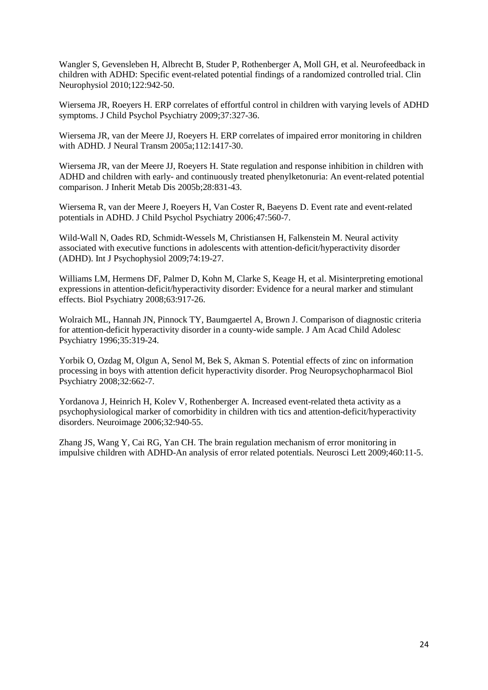<span id="page-25-8"></span>Wangler S, Gevensleben H, Albrecht B, Studer P, Rothenberger A, Moll GH, et al. Neurofeedback in children with ADHD: Specific event-related potential findings of a randomized controlled trial. Clin Neurophysiol 2010;122:942-50.

<span id="page-25-6"></span>Wiersema JR, Roeyers H. ERP correlates of effortful control in children with varying levels of ADHD symptoms. J Child Psychol Psychiatry 2009;37:327-36.

<span id="page-25-7"></span>Wiersema JR, van der Meere JJ, Roeyers H. ERP correlates of impaired error monitoring in children with ADHD. J Neural Transm 2005a;112:1417-30.

<span id="page-25-9"></span>Wiersema JR, van der Meere JJ, Roeyers H. State regulation and response inhibition in children with ADHD and children with early- and continuously treated phenylketonuria: An event-related potential comparison. J Inherit Metab Dis 2005b;28:831-43.

<span id="page-25-4"></span>Wiersema R, van der Meere J, Roeyers H, Van Coster R, Baeyens D. Event rate and event-related potentials in ADHD. J Child Psychol Psychiatry 2006;47:560-7.

<span id="page-25-1"></span>Wild-Wall N, Oades RD, Schmidt-Wessels M, Christiansen H, Falkenstein M. Neural activity associated with executive functions in adolescents with attention-deficit/hyperactivity disorder (ADHD). Int J Psychophysiol 2009;74:19-27.

<span id="page-25-2"></span>Williams LM, Hermens DF, Palmer D, Kohn M, Clarke S, Keage H, et al. Misinterpreting emotional expressions in attention-deficit/hyperactivity disorder: Evidence for a neural marker and stimulant effects. Biol Psychiatry 2008;63:917-26.

<span id="page-25-3"></span>Wolraich ML, Hannah JN, Pinnock TY, Baumgaertel A, Brown J. Comparison of diagnostic criteria for attention-deficit hyperactivity disorder in a county-wide sample. J Am Acad Child Adolesc Psychiatry 1996;35:319-24.

<span id="page-25-5"></span>Yorbik O, Ozdag M, Olgun A, Senol M, Bek S, Akman S. Potential effects of zinc on information processing in boys with attention deficit hyperactivity disorder. Prog Neuropsychopharmacol Biol Psychiatry 2008;32:662-7.

<span id="page-25-10"></span>Yordanova J, Heinrich H, Kolev V, Rothenberger A. Increased event-related theta activity as a psychophysiological marker of comorbidity in children with tics and attention-deficit/hyperactivity disorders. Neuroimage 2006;32:940-55.

<span id="page-25-0"></span>Zhang JS, Wang Y, Cai RG, Yan CH. The brain regulation mechanism of error monitoring in impulsive children with ADHD-An analysis of error related potentials. Neurosci Lett 2009;460:11-5.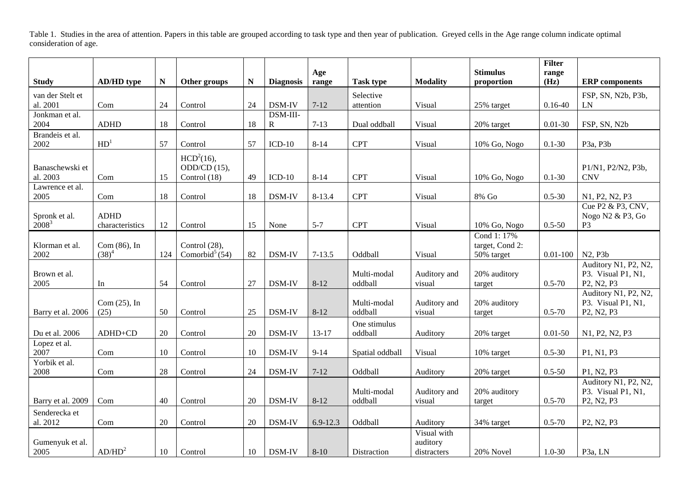Table 1. Studies in the area of attention. Papers in this table are grouped according to task type and then year of publication. Greyed cells in the Age range column indicate optimal consideration of age.

|                           |                    |           |                            |    |                  |              |                        |                        |                               | <b>Filter</b> |                                                                        |
|---------------------------|--------------------|-----------|----------------------------|----|------------------|--------------|------------------------|------------------------|-------------------------------|---------------|------------------------------------------------------------------------|
| <b>Study</b>              | <b>AD/HD</b> type  | ${\bf N}$ | Other groups               | N  | <b>Diagnosis</b> | Age<br>range | <b>Task type</b>       | <b>Modality</b>        | <b>Stimulus</b><br>proportion | range<br>(Hz) | <b>ERP</b> components                                                  |
| van der Stelt et          |                    |           |                            |    |                  |              | Selective              |                        |                               |               | FSP, SN, N2b, P3b,                                                     |
| al. 2001                  | Com                | 24        | Control                    | 24 | DSM-IV           | $7 - 12$     | attention              | Visual                 | 25% target                    | $0.16 - 40$   | LN                                                                     |
| Jonkman et al.            |                    |           |                            |    | DSM-III-         |              |                        |                        |                               |               |                                                                        |
| 2004                      | <b>ADHD</b>        | 18        | Control                    | 18 | $\mathbf R$      | $7 - 13$     | Dual oddball           | Visual                 | 20% target                    | $0.01 - 30$   | FSP, SN, N2b                                                           |
| Brandeis et al.           |                    |           |                            |    |                  |              |                        |                        |                               |               |                                                                        |
| 2002                      | HD <sup>1</sup>    | 57        | Control                    | 57 | $ICD-10$         | $8 - 14$     | <b>CPT</b>             | Visual                 | 10% Go, Nogo                  | $0.1 - 30$    | P <sub>3a</sub> , P <sub>3b</sub>                                      |
|                           |                    |           | $HCD2(16)$ ,               |    |                  |              |                        |                        |                               |               |                                                                        |
| Banaschewski et           |                    |           | ODD/CD $(15)$ ,            |    |                  |              |                        |                        |                               |               | P1/N1, P2/N2, P3b,                                                     |
| al. 2003                  | Com                | 15        | Control (18)               | 49 | $ICD-10$         | $8 - 14$     | <b>CPT</b>             | Visual                 | 10% Go, Nogo                  | $0.1 - 30$    | <b>CNV</b>                                                             |
| Lawrence et al.<br>2005   | Com                | 18        | Control                    | 18 | DSM-IV           | 8-13.4       | <b>CPT</b>             | Visual                 | $8\%$ Go                      | $0.5 - 30$    | N1, P2, N2, P3                                                         |
|                           |                    |           |                            |    |                  |              |                        |                        |                               |               | Cue P2 & P3, CNV,                                                      |
| Spronk et al.             | <b>ADHD</b>        |           |                            |    |                  |              |                        |                        |                               |               | Nogo N2 & P3, Go                                                       |
| $2008^3$                  | characteristics    | 12        | Control                    | 15 | None             | $5 - 7$      | <b>CPT</b>             | Visual                 | 10% Go, Nogo                  | $0.5 - 50$    | P <sub>3</sub>                                                         |
|                           |                    |           |                            |    |                  |              |                        |                        | Cond 1: 17%                   |               |                                                                        |
| Klorman et al.            | Com (86), In       |           | Control (28),              |    |                  |              |                        |                        | target, Cond 2:               |               |                                                                        |
| 2002                      | $(38)^4$           | 124       | Comorbid <sup>5</sup> (54) | 82 | DSM-IV           | $7 - 13.5$   | Oddball                | Visual                 | 50% target                    | $0.01 - 100$  | N2, P3b                                                                |
|                           |                    |           |                            |    |                  |              |                        |                        |                               |               | Auditory N1, P2, N2,                                                   |
| Brown et al.<br>2005      |                    | 54        | Control                    | 27 | DSM-IV           | $8 - 12$     | Multi-modal<br>oddball | Auditory and<br>visual | 20% auditory                  | $0.5 - 70$    | P3. Visual P1, N1,<br>P2, N2, P3                                       |
|                           | In                 |           |                            |    |                  |              |                        |                        | target                        |               | Auditory N1, P2, N2,                                                   |
|                           | Com $(25)$ , In    |           |                            |    |                  |              | Multi-modal            | Auditory and           | 20% auditory                  |               | P3. Visual P1, N1,                                                     |
| Barry et al. 2006         | (25)               | 50        | Control                    | 25 | DSM-IV           | $8 - 12$     | oddball                | visual                 | target                        | $0.5 - 70$    | P <sub>2</sub> , N <sub>2</sub> , P <sub>3</sub>                       |
|                           |                    |           |                            |    |                  |              | One stimulus           |                        |                               |               |                                                                        |
| Du et al. 2006            | ADHD+CD            | 20        | Control                    | 20 | DSM-IV           | 13-17        | oddball                | Auditory               | 20% target                    | $0.01 - 50$   | N1, P2, N2, P3                                                         |
| Lopez et al.              |                    |           |                            |    |                  |              |                        |                        |                               |               |                                                                        |
| 2007                      | Com                | 10        | Control                    | 10 | DSM-IV           | $9 - 14$     | Spatial oddball        | Visual                 | 10% target                    | $0.5 - 30$    | P1, N1, P3                                                             |
| Yorbik et al.             |                    |           |                            |    |                  |              |                        |                        |                               |               |                                                                        |
| 2008                      | Com                | 28        | Control                    | 24 | DSM-IV           | $7 - 12$     | Oddball                | Auditory               | 20% target                    | $0.5 - 50$    | P1, N2, P3                                                             |
|                           |                    |           |                            |    |                  |              |                        |                        |                               |               | Auditory N1, P2, N2,                                                   |
| Barry et al. 2009         | Com                | 40        | Control                    | 20 | DSM-IV           | $8 - 12$     | Multi-modal<br>oddball | Auditory and<br>visual | 20% auditory<br>target        | $0.5 - 70$    | P3. Visual P1, N1,<br>P <sub>2</sub> , N <sub>2</sub> , P <sub>3</sub> |
|                           |                    |           |                            |    |                  |              |                        |                        |                               |               |                                                                        |
| Senderecka et<br>al. 2012 | Com                | 20        | Control                    | 20 | DSM-IV           | $6.9 - 12.3$ | Oddball                | Auditory               | 34% target                    | $0.5 - 70$    | P <sub>2</sub> , N <sub>2</sub> , P <sub>3</sub>                       |
|                           |                    |           |                            |    |                  |              |                        | Visual with            |                               |               |                                                                        |
| Gumenyuk et al.           |                    |           |                            |    |                  |              |                        | auditory               |                               |               |                                                                        |
| 2005                      | AD/HD <sup>2</sup> | 10        | Control                    | 10 | DSM-IV           | $8 - 10$     | Distraction            | distracters            | 20% Novel                     | $1.0 - 30$    | P <sub>3</sub> a, LN                                                   |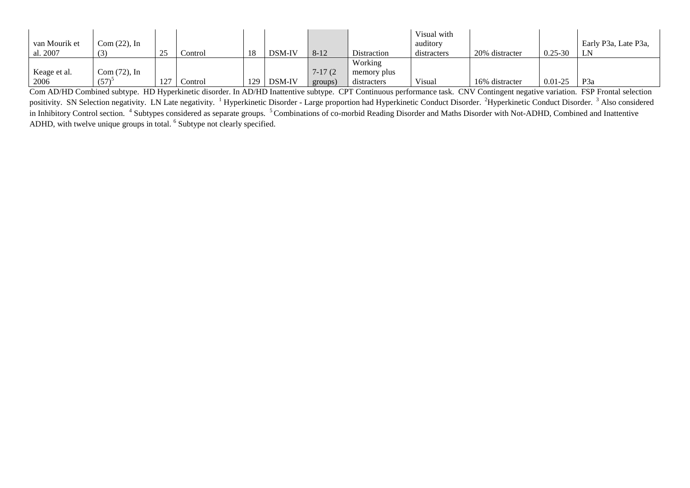| van Mourik et<br>al. 2007 | $Com (22)$ , In<br>(3) | 25  | Control | 18  | DSM-IV | $8 - 12$  | Distraction | Visual with<br>auditory<br>distracters | 20% distracter | $0.25 - 30$ | Early P3a, Late P3a,<br>LN |
|---------------------------|------------------------|-----|---------|-----|--------|-----------|-------------|----------------------------------------|----------------|-------------|----------------------------|
|                           |                        |     |         |     |        |           |             |                                        |                |             |                            |
|                           |                        |     |         |     |        |           | Working     |                                        |                |             |                            |
| Keage et al.              | $Com (72)$ , In        |     |         |     |        | $7-17(2)$ | memory plus |                                        |                |             |                            |
| 2006                      | (57)                   | 127 | Control | 129 | DSM-IV | groups)   | distracters | Visual                                 | 16% distracter | $0.01 - 25$ | P <sub>3</sub> a           |

Com AD/HD Combined subtype. HD Hyperkinetic disorder. In AD/HD Inattentive subtype. CPT Continuous performance task. CNV Contingent negative variation. FSP Frontal selection positivity. SN Selection negativity. LN Late negativity. <sup>1</sup> Hyperkinetic Disorder - Large proportion had Hyperkinetic Conduct Disorder. <sup>2</sup>Hyperkinetic Conduct Disorder. <sup>3</sup> Also considered in Inhibitory Control section. <sup>4</sup> Subtypes considered as separate groups. <sup>5</sup> Combinations of co-morbid Reading Disorder and Maths Disorder with Not-ADHD, Combined and Inattentive ADHD, with twelve unique groups in total. <sup>6</sup> Subtype not clearly specified.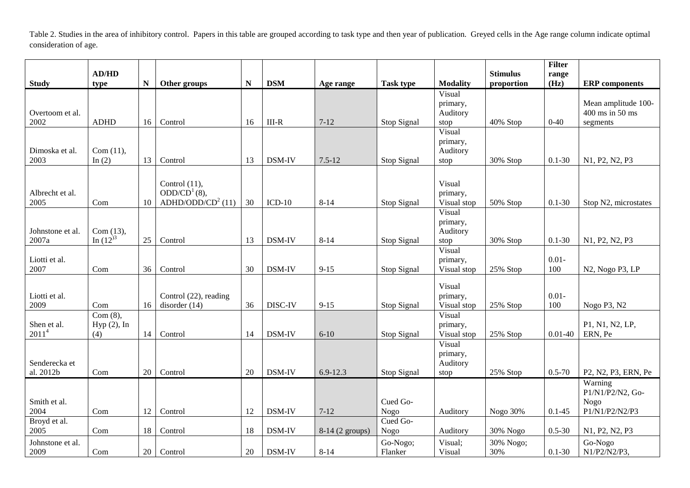Table 2. Studies in the area of inhibitory control. Papers in this table are grouped according to task type and then year of publication. Greyed cells in the Age range column indicate optimal consideration of age.

|                                  | AD/HD                           |             |                                                                               |           |            |                 |                     |                                        | <b>Stimulus</b>  | <b>Filter</b><br>range |                                                              |
|----------------------------------|---------------------------------|-------------|-------------------------------------------------------------------------------|-----------|------------|-----------------|---------------------|----------------------------------------|------------------|------------------------|--------------------------------------------------------------|
| <b>Study</b>                     | type                            | $\mathbf N$ | Other groups                                                                  | ${\bf N}$ | <b>DSM</b> | Age range       | <b>Task type</b>    | <b>Modality</b>                        | proportion       | (Hz)                   | <b>ERP</b> components                                        |
| Overtoom et al.<br>2002          | <b>ADHD</b>                     | 16          | Control                                                                       | 16        | $III-R$    | $7 - 12$        | Stop Signal         | Visual<br>primary,<br>Auditory<br>stop | 40% Stop         | $0 - 40$               | Mean amplitude 100-<br>400 ms in 50 ms<br>segments           |
| Dimoska et al.<br>2003           | Com $(11)$ ,<br>In $(2)$        | 13          | Control                                                                       | 13        | DSM-IV     | $7.5 - 12$      | Stop Signal         | Visual<br>primary,<br>Auditory<br>stop | 30% Stop         | $0.1 - 30$             | N1, P2, N2, P3                                               |
| Albrecht et al.<br>2005          | Com                             | 10          | Control $(11)$ ,<br>ODD/CD <sup>1</sup> (8),<br>ADHD/ODD/CD <sup>2</sup> (11) | 30        | $ICD-10$   | $8 - 14$        | Stop Signal         | Visual<br>primary,<br>Visual stop      | 50% Stop         | $0.1 - 30$             | Stop N2, microstates                                         |
| Johnstone et al.<br>2007a        | Com (13),<br>In $(12)^3$        | 25          | Control                                                                       | 13        | DSM-IV     | $8 - 14$        | Stop Signal         | Visual<br>primary,<br>Auditory<br>stop | 30% Stop         | $0.1 - 30$             | N1, P2, N2, P3                                               |
| Liotti et al.<br>2007            | Com                             | 36          | Control                                                                       | 30        | DSM-IV     | $9 - 15$        | Stop Signal         | Visual<br>primary,<br>Visual stop      | 25% Stop         | $0.01 -$<br>100        | N2, Nogo P3, LP                                              |
| Liotti et al.<br>2009            | Com                             | 16          | Control (22), reading<br>disorder $(14)$                                      | 36        | DISC-IV    | $9 - 15$        | Stop Signal         | Visual<br>primary,<br>Visual stop      | 25% Stop         | $0.01 -$<br>100        | Nogo P3, N2                                                  |
| Shen et al.<br>2011 <sup>4</sup> | Com(8),<br>$Hyp(2)$ , In<br>(4) | 14          | Control                                                                       | 14        | DSM-IV     | $6 - 10$        | Stop Signal         | Visual<br>primary,<br>Visual stop      | 25% Stop         | $0.01 - 40$            | P1, N1, N2, LP,<br>ERN, Pe                                   |
| Senderecka et<br>al. 2012b       | Com                             | 20          | Control                                                                       | 20        | DSM-IV     | $6.9 - 12.3$    | Stop Signal         | Visual<br>primary,<br>Auditory<br>stop | 25% Stop         | $0.5 - 70$             | P2, N2, P3, ERN, Pe                                          |
| Smith et al.<br>2004             | Com                             | 12          | Control                                                                       | 12        | DSM-IV     | $7 - 12$        | Cued Go-<br>Nogo    | Auditory                               | Nogo 30%         | $0.1 - 45$             | Warning<br>P1/N1/P2/N2, Go-<br><b>Nogo</b><br>P1/N1/P2/N2/P3 |
| Broyd et al.<br>2005             | Com                             | 18          | Control                                                                       | 18        | DSM-IV     | 8-14 (2 groups) | Cued Go-<br>Nogo    | Auditory                               | 30% Nogo         | $0.5 - 30$             | N1, P2, N2, P3                                               |
| Johnstone et al.<br>2009         | Com                             | 20          | Control                                                                       | 20        | DSM-IV     | $8 - 14$        | Go-Nogo;<br>Flanker | Visual;<br>Visual                      | 30% Nogo;<br>30% | $0.1 - 30$             | Go-Nogo<br>$N1/P2/N2/P3$ ,                                   |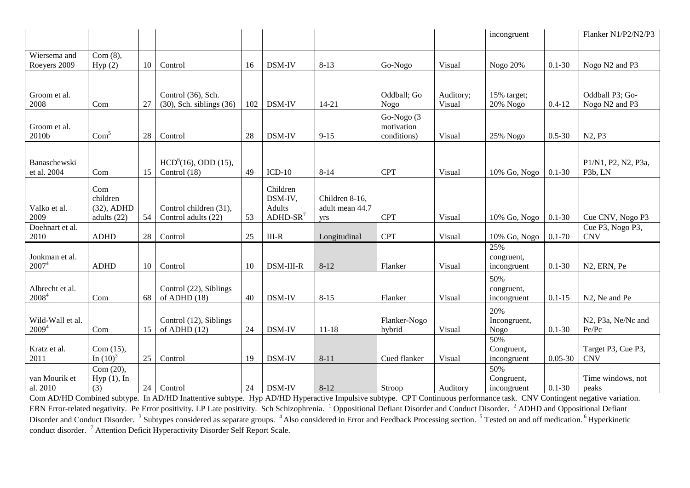|                                       |                                  |    |                                          |     |                                      |                                   |                                         |           | incongruent               |             | Flanker N1/P2/N2/P3              |
|---------------------------------------|----------------------------------|----|------------------------------------------|-----|--------------------------------------|-----------------------------------|-----------------------------------------|-----------|---------------------------|-------------|----------------------------------|
| Wiersema and                          | $Com(8)$ ,                       |    |                                          |     |                                      |                                   |                                         |           |                           |             |                                  |
| Roeyers 2009                          | Hyp(2)                           | 10 | Control                                  | 16  | DSM-IV                               | $8 - 13$                          | Go-Nogo                                 | Visual    | Nogo 20%                  | $0.1 - 30$  | Nogo N2 and P3                   |
|                                       |                                  |    |                                          |     |                                      |                                   |                                         |           |                           |             |                                  |
| Groom et al.                          |                                  |    | Control (36), Sch.                       |     |                                      |                                   | Oddball; Go                             | Auditory; | 15% target;               |             | Oddball P3; Go-                  |
| 2008                                  | Com                              | 27 | $(30)$ , Sch. siblings $(36)$            | 102 | <b>DSM-IV</b>                        | $14 - 21$                         | <b>Nogo</b>                             | Visual    | 20% Nogo                  | $0.4 - 12$  | Nogo N2 and P3                   |
| Groom et al.<br>2010b                 | Com <sup>5</sup>                 | 28 | Control                                  | 28  | DSM-IV                               | $9 - 15$                          | Go-Nogo (3<br>motivation<br>conditions) | Visual    | 25% Nogo                  | $0.5 - 30$  | N2, P3                           |
|                                       |                                  |    |                                          |     |                                      |                                   |                                         |           |                           |             |                                  |
| Banaschewski                          |                                  |    | $HCD6(16)$ , ODD (15),                   |     |                                      |                                   |                                         |           |                           |             | P1/N1, P2, N2, P3a,              |
| et al. 2004                           | Com                              | 15 | Control $(18)$                           | 49  | $ICD-10$                             | $8 - 14$                          | <b>CPT</b>                              | Visual    | 10% Go, Nogo              | $0.1 - 30$  | P <sub>3</sub> b, LN             |
| Valko et al.                          | Com<br>children<br>$(32)$ , ADHD |    | Control children (31),                   |     | Children<br>DSM-IV,<br><b>Adults</b> | Children 8-16,<br>adult mean 44.7 |                                         |           |                           |             |                                  |
| 2009                                  | adults (22)                      | 54 | Control adults (22)                      | 53  | $ADHD-SR7$                           | <b>Vrs</b>                        | <b>CPT</b>                              | Visual    | 10% Go, Nogo              | $0.1 - 30$  | Cue CNV, Nogo P3                 |
| Doehnart et al.<br>2010               | <b>ADHD</b>                      | 28 | Control                                  | 25  | $III-R$                              | Longitudinal                      | <b>CPT</b>                              | Visual    | 10% Go, Nogo              | $0.1 - 70$  | Cue P3, Nogo P3,<br><b>CNV</b>   |
|                                       |                                  |    |                                          |     |                                      |                                   |                                         |           | 25%                       |             |                                  |
| Jonkman et al.<br>$2007^4$            | <b>ADHD</b>                      | 10 | Control                                  | 10  | <b>DSM-III-R</b>                     | $8 - 12$                          | Flanker                                 | Visual    | congruent,<br>incongruent | $0.1 - 30$  | N2, ERN, Pe                      |
|                                       |                                  |    |                                          |     |                                      |                                   |                                         |           | 50%                       |             |                                  |
| Albrecht et al.<br>2008 <sup>4</sup>  | Com                              | 68 | Control (22), Siblings<br>of ADHD $(18)$ | 40  | <b>DSM-IV</b>                        | $8 - 15$                          | Flanker                                 | Visual    | congruent,<br>incongruent | $0.1 - 15$  | N <sub>2</sub> , Ne and Pe       |
|                                       |                                  |    |                                          |     |                                      |                                   |                                         |           | 20%                       |             |                                  |
| Wild-Wall et al.<br>2009 <sup>4</sup> | Com                              | 15 | Control (12), Siblings<br>of ADHD $(12)$ | 24  | <b>DSM-IV</b>                        | $11 - 18$                         | Flanker-Nogo<br>hybrid                  | Visual    | Incongruent,<br>Nogo      | $0.1 - 30$  | N2, P3a, Ne/Nc and<br>Pe/Pc      |
|                                       |                                  |    |                                          |     |                                      |                                   |                                         |           | 50%                       |             |                                  |
| Kratz et al.<br>2011                  | Com $(15)$ ,<br>In $(10)^3$      | 25 | Control                                  | 19  | DSM-IV                               | $8 - 11$                          | Cued flanker                            | Visual    | Congruent,<br>incongruent | $0.05 - 30$ | Target P3, Cue P3,<br><b>CNV</b> |
|                                       | Com $(20)$ ,                     |    |                                          |     |                                      |                                   |                                         |           | 50%                       |             |                                  |
| van Mourik et                         | $Hyp(1)$ , In                    |    |                                          |     |                                      |                                   |                                         |           | Congruent,                |             | Time windows, not                |
| al. 2010                              | (3)                              | 24 | Control                                  | 24  | <b>DSM-IV</b>                        | $8 - 12$                          | Stroop                                  | Auditory  | incongruent               | $0.1 - 30$  | peaks                            |

Com AD/HD Combined subtype. In AD/HD Inattentive subtype. Hyp AD/HD Hyperactive Impulsive subtype. CPT Continuous performance task. CNV Contingent negative variation. ERN Error-related negativity. Pe Error positivity. LP Late positivity. Sch Schizophrenia. <sup>1</sup> Oppositional Defiant Disorder and Conduct Disorder. <sup>2</sup> ADHD and Oppositional Defiant Disorder and Conduct Disorder. <sup>3</sup> Subtypes considered as separate groups. <sup>4</sup> Also considered in Error and Feedback Processing section. <sup>5</sup> Tested on and off medication. <sup>6</sup> Hyperkinetic conduct disorder. <sup>7</sup> Attention Deficit Hyperactivity Disorder Self Report Scale.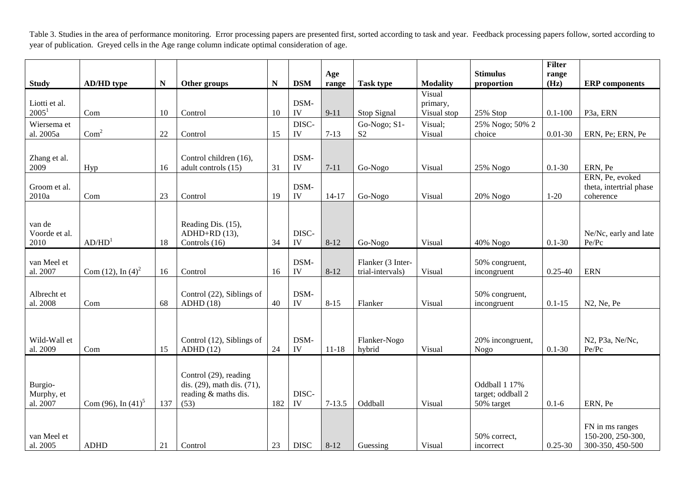Table 3. Studies in the area of performance monitoring. Error processing papers are presented first, sorted according to task and year. Feedback processing papers follow, sorted according to year of publication. Greyed cells in the Age range column indicate optimal consideration of age.

|                                    |                       |           |                                                                                     |     |                    | Age        |                                       |                                   | <b>Stimulus</b>                                  | <b>Filter</b><br>range |                                                          |
|------------------------------------|-----------------------|-----------|-------------------------------------------------------------------------------------|-----|--------------------|------------|---------------------------------------|-----------------------------------|--------------------------------------------------|------------------------|----------------------------------------------------------|
| <b>Study</b>                       | <b>AD/HD</b> type     | ${\bf N}$ | Other groups                                                                        | N   | <b>DSM</b>         | range      | <b>Task type</b>                      | <b>Modality</b>                   | proportion                                       | (Hz)                   | <b>ERP</b> components                                    |
| Liotti et al.<br>2005 <sup>1</sup> | Com                   | 10        | Control                                                                             | 10  | DSM-<br>IV         | $9 - 11$   | Stop Signal                           | Visual<br>primary,<br>Visual stop | 25% Stop                                         | $0.1 - 100$            | P <sub>3</sub> a, ERN                                    |
| Wiersema et<br>al. 2005a           | Com <sup>2</sup>      | 22        | Control                                                                             | 15  | DISC-<br>IV        | $7-13$     | Go-Nogo; S1-<br>S <sub>2</sub>        | Visual;<br>Visual                 | 25% Nogo; 50% 2<br>choice                        | $0.01 - 30$            | ERN, Pe; ERN, Pe                                         |
| Zhang et al.<br>2009               | Hyp                   | 16        | Control children (16),<br>adult controls (15)                                       | 31  | DSM-<br>IV         | $7 - 11$   | Go-Nogo                               | Visual                            | 25% Nogo                                         | $0.1 - 30$             | ERN, Pe                                                  |
| Groom et al.<br>$2010\mathrm{a}$   | Com                   | 23        | Control                                                                             | 19  | DSM-<br>IV         | $14-17$    | Go-Nogo                               | Visual                            | 20% Nogo                                         | $1-20$                 | ERN, Pe, evoked<br>theta, intertrial phase<br>coherence  |
| van de<br>Voorde et al.<br>2010    | AD/HD <sup>1</sup>    | 18        | Reading Dis. (15),<br>$ADHD+RD$ (13),<br>Controls (16)                              | 34  | DISC-<br>IV        | $8 - 12$   | Go-Nogo                               | Visual                            | 40% Nogo                                         | $0.1 - 30$             | Ne/Nc, early and late<br>Pe/Pc                           |
| van Meel et<br>al. 2007            | Com (12), In $(4)^2$  | 16        | Control                                                                             | 16  | DSM-<br>${\rm IV}$ | $8 - 12$   | Flanker (3 Inter-<br>trial-intervals) | Visual                            | 50% congruent,<br>incongruent                    | $0.25 - 40$            | <b>ERN</b>                                               |
| Albrecht et<br>al. 2008            | Com                   | 68        | Control (22), Siblings of<br>ADHD(18)                                               | 40  | DSM-<br>IV         | $8 - 15$   | Flanker                               | Visual                            | 50% congruent,<br>incongruent                    | $0.1 - 15$             | N2, Ne, Pe                                               |
| Wild-Wall et<br>al. 2009           | Com                   | 15        | Control (12), Siblings of<br>ADHD(12)                                               | 24  | DSM-<br>IV         | $11 - 18$  | Flanker-Nogo<br>hybrid                | Visual                            | 20% incongruent,<br>Nogo                         | $0.1 - 30$             | N2, P3a, Ne/Nc,<br>Pe/Pc                                 |
| Burgio-<br>Murphy, et<br>al. 2007  | Com (96), In $(41)^5$ | 137       | Control (29), reading<br>dis. (29), math dis. (71),<br>reading & maths dis.<br>(53) | 182 | DISC-<br>IV        | $7 - 13.5$ | Oddball                               | Visual                            | Oddball 1 17%<br>target; oddball 2<br>50% target | $0.1 - 6$              | ERN, Pe                                                  |
| van Meel et<br>al. 2005            | <b>ADHD</b>           | 21        | Control                                                                             | 23  | <b>DISC</b>        | $8-12$     | Guessing                              | Visual                            | 50% correct,<br>incorrect                        | $0.25 - 30$            | FN in ms ranges<br>150-200, 250-300,<br>300-350, 450-500 |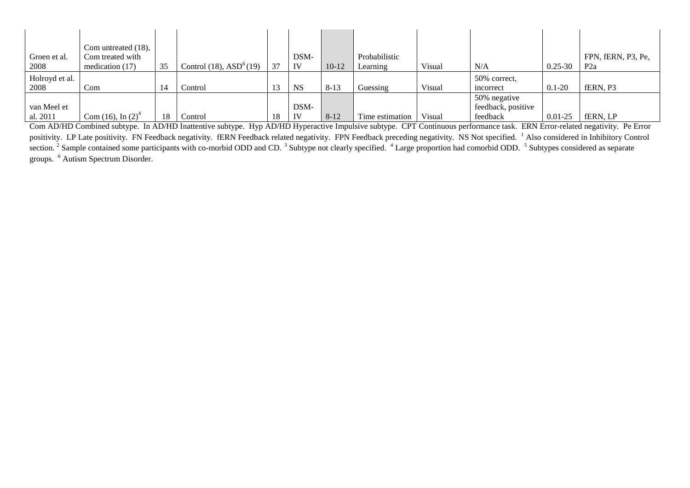|                | Com untreated (18),           |    |                             |    |           |         |                 |        |                    |             |                    |
|----------------|-------------------------------|----|-----------------------------|----|-----------|---------|-----------------|--------|--------------------|-------------|--------------------|
| Groen et al.   | Com treated with              |    |                             |    | DSM-      |         | Probabilistic   |        |                    |             | FPN, fERN, P3, Pe, |
| 2008           | medication $(17)$             | 35 | Control $(18)$ , $ASD6(19)$ | 37 | IV        | $10-12$ | Learning        | Visual | N/A                | $0.25 - 30$ | P2a                |
| Holroyd et al. |                               |    |                             |    |           |         |                 |        | 50% correct,       |             |                    |
| 2008           | Com                           | 14 | Control                     | 13 | <b>NS</b> | $8-13$  | Guessing        | Visual | incorrect          | $0.1 - 20$  | fERN, P3           |
|                |                               |    |                             |    |           |         |                 |        | 50% negative       |             |                    |
| van Meel et    |                               |    |                             |    | DSM-      |         |                 |        | feedback, positive |             |                    |
| al. 2011       | Com (16), In (2) <sup>4</sup> |    | Control                     | 18 | IV        | $8-12$  | Time estimation | Visual | feedback           | $0.01 - 25$ | fERN, LP           |

Com AD/HD Combined subtype. In AD/HD Inattentive subtype. Hyp AD/HD Hyperactive Impulsive subtype. CPT Continuous performance task. ERN Error-related negativity. Pe Error positivity. LP Late positivity. FN Feedback negativity. fERN Feedback related negativity. FPN Feedback preceding negativity. NS Not specified. <sup>1</sup> Also considered in Inhibitory Control section.<sup>2</sup> Sample contained some participants with co-morbid ODD and CD.<sup>3</sup> Subtype not clearly specified. <sup>4</sup> Large proportion had comorbid ODD. <sup>5</sup> Subtypes considered as separate groups. <sup>6</sup> Autism Spectrum Disorder.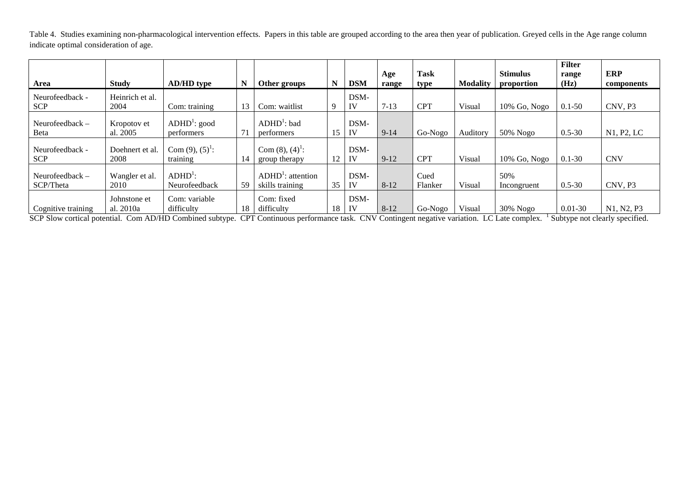Table 4. Studies examining non-pharmacological intervention effects. Papers in this table are grouped according to the area then year of publication. Greyed cells in the Age range column indicate optimal consideration of age.

|                                |                           |                                     |    |                                          |    |            | Age      | <b>Task</b>     |                 | <b>Stimulus</b>    | <b>Filter</b><br>range | <b>ERP</b> |
|--------------------------------|---------------------------|-------------------------------------|----|------------------------------------------|----|------------|----------|-----------------|-----------------|--------------------|------------------------|------------|
| Area                           | <b>Study</b>              | <b>AD/HD</b> type                   | N  | Other groups                             | N  | <b>DSM</b> | range    | type            | <b>Modality</b> | proportion         | (Hz)                   | components |
| Neurofeedback -                | Heinrich et al.           |                                     |    |                                          |    | DSM-       |          |                 |                 |                    |                        |            |
| <b>SCP</b>                     | 2004                      | Com: training                       | 13 | Com: waitlist                            | Q  | IV         | $7-13$   | <b>CPT</b>      | Visual          | $10\%$ Go, Nogo    | $0.1 - 50$             | CNV, P3    |
| Neurofeedback -<br>Beta        | Kropotov et<br>al. 2005   | $ADHD^1$ : good<br>performers       | 71 | $ADHD1$ : bad<br>performers              | 15 | DSM-<br>IV | $9-14$   | Go-Nogo         | Auditory        | 50% Nogo           | $0.5 - 30$             | N1, P2, LC |
| Neurofeedback -<br><b>SCP</b>  | Doehnert et al.<br>2008   | Com $(9)$ , $(5)^{1}$ :<br>training | 14 | Com $(8)$ , $(4)^{1}$ :<br>group therapy | 12 | DSM-<br>IV | $9-12$   | <b>CPT</b>      | Visual          | $10\%$ Go, Nogo    | $0.1 - 30$             | <b>CNV</b> |
| Neurofeedback $-$<br>SCP/Theta | Wangler et al.<br>2010    | $ADHD^{\perp}$ :<br>Neurofeedback   | 59 | $ADHD1$ : attention<br>skills training   | 35 | DSM-<br>IV | $8 - 12$ | Cued<br>Flanker | Visual          | 50%<br>Incongruent | $0.5 - 30$             | CNV, P3    |
| Cognitive training             | Johnstone et<br>al. 2010a | Com: variable<br>difficulty         | 18 | Com: fixed<br>difficulty                 | 18 | DSM-<br>IV | $8-12$   | Go-Nogo         | Visual          | 30% Nogo           | $0.01 - 30$            | N1, N2, P3 |

SCP Slow cortical potential. Com AD/HD Combined subtype. CPT Continuous performance task. CNV Contingent negative variation. LC Late complex. <sup>1</sup> Subtype not clearly specified.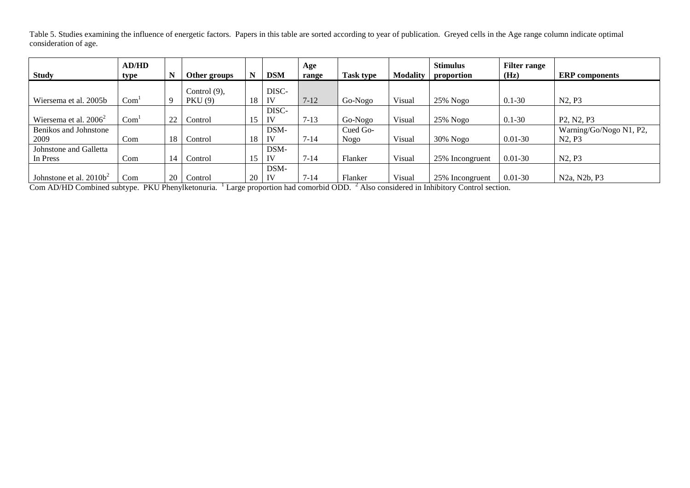Table 5. Studies examining the influence of energetic factors. Papers in this table are sorted according to year of publication. Greyed cells in the Age range column indicate optimal consideration of age.

| <b>Study</b>                       | AD/HD<br>type    | N  | Other groups                      |    | <b>DSM</b>  | Age<br>range | <b>Task type</b> | <b>Modality</b> | <b>Stimulus</b><br>proportion | <b>Filter range</b><br>(Hz) | <b>ERP</b> components                                      |
|------------------------------------|------------------|----|-----------------------------------|----|-------------|--------------|------------------|-----------------|-------------------------------|-----------------------------|------------------------------------------------------------|
| Wiersema et al. 2005b              | Com <sup>1</sup> |    | Control $(9)$ ,<br><b>PKU</b> (9) | 18 | DISC-<br>IV | $7-12$       | Go-Nogo          | Visual          | $25\%$ Nogo                   | $0.1 - 30$                  | N <sub>2</sub> , P <sub>3</sub>                            |
| Wiersema et al. $2006^2$           | Com <sup>1</sup> | 22 | Control                           | 15 | DISC-<br>IV | $7 - 13$     | Go-Nogo          | Visual          | $25\%$ Nogo                   | $0.1 - 30$                  | P <sub>2</sub> , N <sub>2</sub> , P <sub>3</sub>           |
| Benikos and Johnstone<br>2009      | Com              | 18 | Control                           | 18 | DSM-<br>IV  | $7 - 14$     | Cued Go-<br>Nogo | Visual          | $30\%$ Nogo                   | $0.01 - 30$                 | Warning/Go/Nogo N1, P2,<br>N <sub>2</sub> , P <sub>3</sub> |
| Johnstone and Galletta<br>In Press | Com              | 14 | Control                           | 15 | DSM-<br>IV  | $7 - 14$     | Flanker          | Visual          | 25% Incongruent               | $0.01 - 30$                 | N <sub>2</sub> , P <sub>3</sub>                            |
| Johnstone et al. $2010b^2$         | Com              | 20 | Control                           | 20 | DSM-<br>IV  | $7 - 14$     | Flanker          | Visual          | 25% Incongruent               | $0.01 - 30$                 | N <sub>2</sub> a, N <sub>2</sub> b, P <sub>3</sub>         |

Com AD/HD Combined subtype. PKU Phenylketonuria. <sup>1</sup> Large proportion had comorbid ODD. <sup>2</sup> Also considered in Inhibitory Control section.